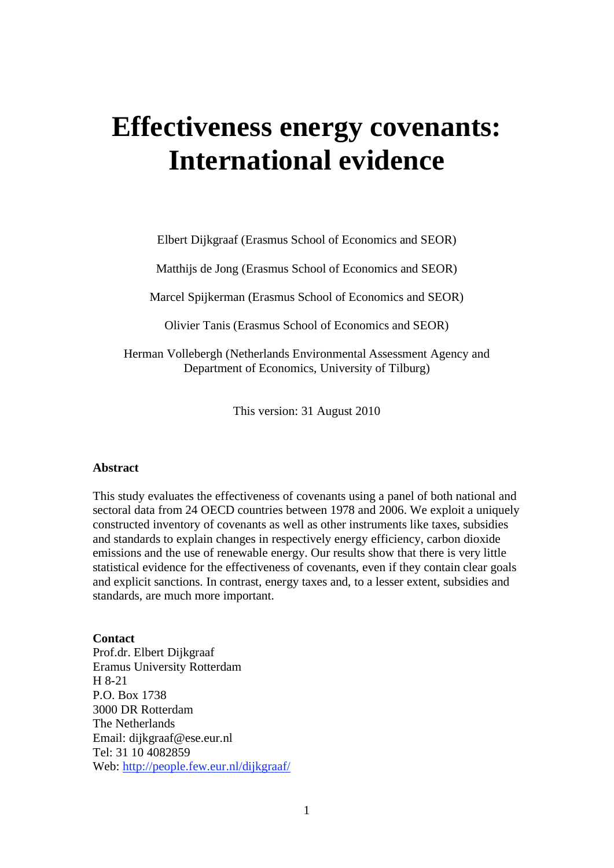# **Effectiveness energy covenants: International evidence**

Elbert Dijkgraaf (Erasmus School of Economics and SEOR)

Matthijs de Jong (Erasmus School of Economics and SEOR)

Marcel Spijkerman (Erasmus School of Economics and SEOR)

Olivier Tanis (Erasmus School of Economics and SEOR)

Herman Vollebergh (Netherlands Environmental Assessment Agency and Department of Economics, University of Tilburg)

This version: 31 August 2010

#### **Abstract**

This study evaluates the effectiveness of covenants using a panel of both national and sectoral data from 24 OECD countries between 1978 and 2006. We exploit a uniquely constructed inventory of covenants as well as other instruments like taxes, subsidies and standards to explain changes in respectively energy efficiency, carbon dioxide emissions and the use of renewable energy. Our results show that there is very little statistical evidence for the effectiveness of covenants, even if they contain clear goals and explicit sanctions. In contrast, energy taxes and, to a lesser extent, subsidies and standards, are much more important.

#### **Contact**

Prof.dr. Elbert Dijkgraaf Eramus University Rotterdam H 8-21 P.O. Box 1738 3000 DR Rotterdam The Netherlands Email: dijkgraaf@ese.eur.nl Tel: 31 10 4082859 Web: http://people.few.eur.nl/dijkgraaf/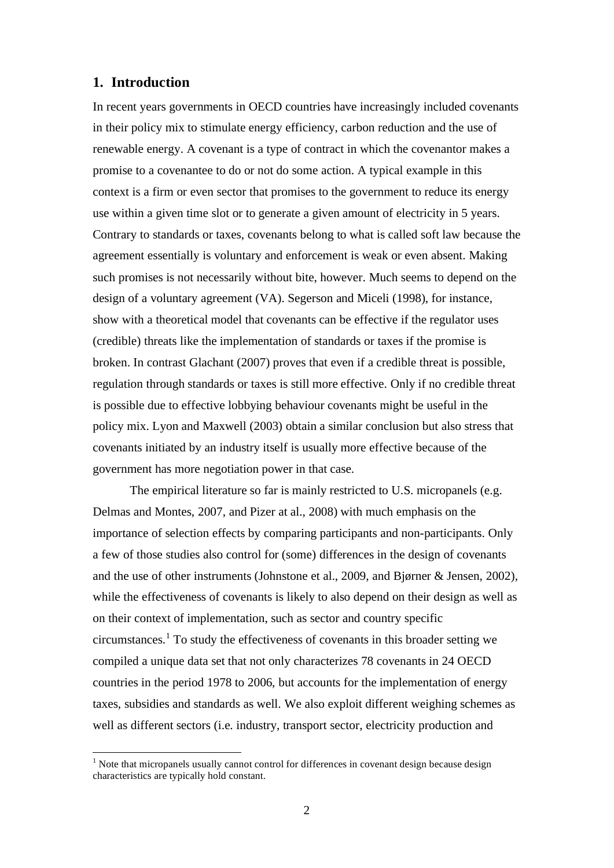#### **1. Introduction**

1

In recent years governments in OECD countries have increasingly included covenants in their policy mix to stimulate energy efficiency, carbon reduction and the use of renewable energy. A covenant is a type of contract in which the covenantor makes a promise to a covenantee to do or not do some action. A typical example in this context is a firm or even sector that promises to the government to reduce its energy use within a given time slot or to generate a given amount of electricity in 5 years. Contrary to standards or taxes, covenants belong to what is called soft law because the agreement essentially is voluntary and enforcement is weak or even absent. Making such promises is not necessarily without bite, however. Much seems to depend on the design of a voluntary agreement (VA). Segerson and Miceli (1998), for instance, show with a theoretical model that covenants can be effective if the regulator uses (credible) threats like the implementation of standards or taxes if the promise is broken. In contrast Glachant (2007) proves that even if a credible threat is possible, regulation through standards or taxes is still more effective. Only if no credible threat is possible due to effective lobbying behaviour covenants might be useful in the policy mix. Lyon and Maxwell (2003) obtain a similar conclusion but also stress that covenants initiated by an industry itself is usually more effective because of the government has more negotiation power in that case.

The empirical literature so far is mainly restricted to U.S. micropanels (e.g. Delmas and Montes, 2007, and Pizer at al., 2008) with much emphasis on the importance of selection effects by comparing participants and non-participants. Only a few of those studies also control for (some) differences in the design of covenants and the use of other instruments (Johnstone et al., 2009, and Bjørner & Jensen, 2002), while the effectiveness of covenants is likely to also depend on their design as well as on their context of implementation, such as sector and country specific  $circ$  circumstances.<sup>1</sup> To study the effectiveness of covenants in this broader setting we compiled a unique data set that not only characterizes 78 covenants in 24 OECD countries in the period 1978 to 2006, but accounts for the implementation of energy taxes, subsidies and standards as well. We also exploit different weighing schemes as well as different sectors (i.e. industry, transport sector, electricity production and

<sup>&</sup>lt;sup>1</sup> Note that micropanels usually cannot control for differences in covenant design because design characteristics are typically hold constant.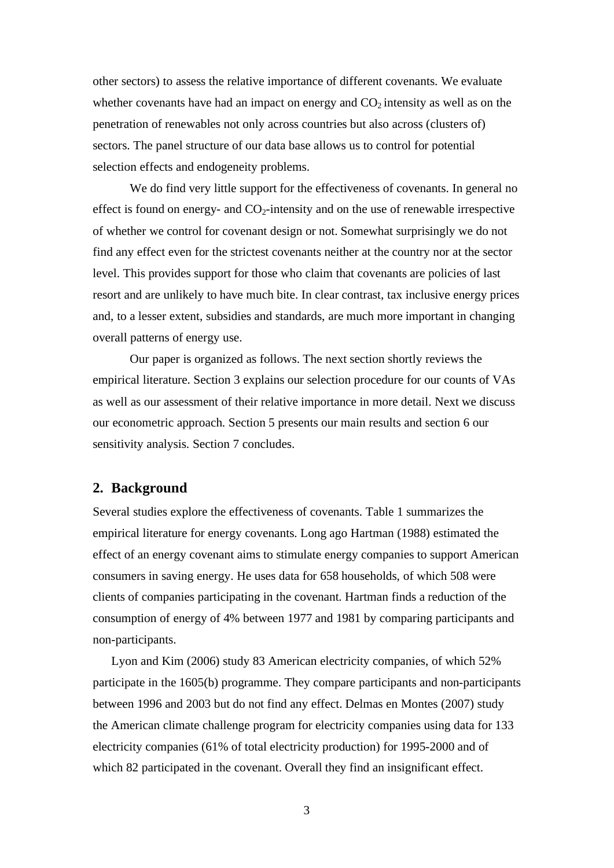other sectors) to assess the relative importance of different covenants. We evaluate whether covenants have had an impact on energy and  $CO<sub>2</sub>$  intensity as well as on the penetration of renewables not only across countries but also across (clusters of) sectors. The panel structure of our data base allows us to control for potential selection effects and endogeneity problems.

We do find very little support for the effectiveness of covenants. In general no effect is found on energy- and  $CO<sub>2</sub>$ -intensity and on the use of renewable irrespective of whether we control for covenant design or not. Somewhat surprisingly we do not find any effect even for the strictest covenants neither at the country nor at the sector level. This provides support for those who claim that covenants are policies of last resort and are unlikely to have much bite. In clear contrast, tax inclusive energy prices and, to a lesser extent, subsidies and standards, are much more important in changing overall patterns of energy use.

Our paper is organized as follows. The next section shortly reviews the empirical literature. Section 3 explains our selection procedure for our counts of VAs as well as our assessment of their relative importance in more detail. Next we discuss our econometric approach. Section 5 presents our main results and section 6 our sensitivity analysis. Section 7 concludes.

#### **2. Background**

Several studies explore the effectiveness of covenants. Table 1 summarizes the empirical literature for energy covenants. Long ago Hartman (1988) estimated the effect of an energy covenant aims to stimulate energy companies to support American consumers in saving energy. He uses data for 658 households, of which 508 were clients of companies participating in the covenant. Hartman finds a reduction of the consumption of energy of 4% between 1977 and 1981 by comparing participants and non-participants.

Lyon and Kim (2006) study 83 American electricity companies, of which 52% participate in the 1605(b) programme. They compare participants and non-participants between 1996 and 2003 but do not find any effect. Delmas en Montes (2007) study the American climate challenge program for electricity companies using data for 133 electricity companies (61% of total electricity production) for 1995-2000 and of which 82 participated in the covenant. Overall they find an insignificant effect.

3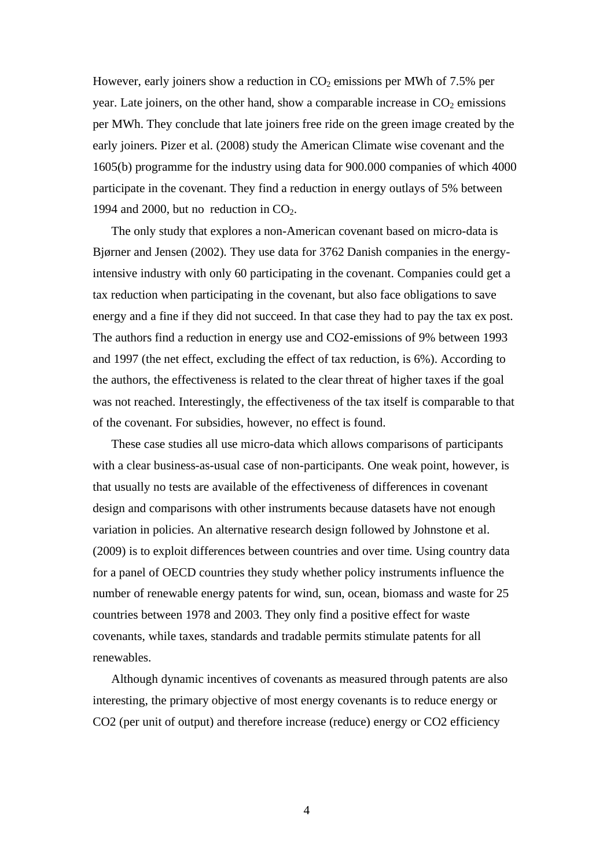However, early joiners show a reduction in  $CO<sub>2</sub>$  emissions per MWh of 7.5% per year. Late joiners, on the other hand, show a comparable increase in  $CO<sub>2</sub>$  emissions per MWh. They conclude that late joiners free ride on the green image created by the early joiners. Pizer et al. (2008) study the American Climate wise covenant and the 1605(b) programme for the industry using data for 900.000 companies of which 4000 participate in the covenant. They find a reduction in energy outlays of 5% between 1994 and 2000, but no reduction in  $CO<sub>2</sub>$ .

The only study that explores a non-American covenant based on micro-data is Bjørner and Jensen (2002). They use data for 3762 Danish companies in the energyintensive industry with only 60 participating in the covenant. Companies could get a tax reduction when participating in the covenant, but also face obligations to save energy and a fine if they did not succeed. In that case they had to pay the tax ex post. The authors find a reduction in energy use and CO2-emissions of 9% between 1993 and 1997 (the net effect, excluding the effect of tax reduction, is 6%). According to the authors, the effectiveness is related to the clear threat of higher taxes if the goal was not reached. Interestingly, the effectiveness of the tax itself is comparable to that of the covenant. For subsidies, however, no effect is found.

These case studies all use micro-data which allows comparisons of participants with a clear business-as-usual case of non-participants. One weak point, however, is that usually no tests are available of the effectiveness of differences in covenant design and comparisons with other instruments because datasets have not enough variation in policies. An alternative research design followed by Johnstone et al. (2009) is to exploit differences between countries and over time. Using country data for a panel of OECD countries they study whether policy instruments influence the number of renewable energy patents for wind, sun, ocean, biomass and waste for 25 countries between 1978 and 2003. They only find a positive effect for waste covenants, while taxes, standards and tradable permits stimulate patents for all renewables.

Although dynamic incentives of covenants as measured through patents are also interesting, the primary objective of most energy covenants is to reduce energy or CO2 (per unit of output) and therefore increase (reduce) energy or CO2 efficiency

4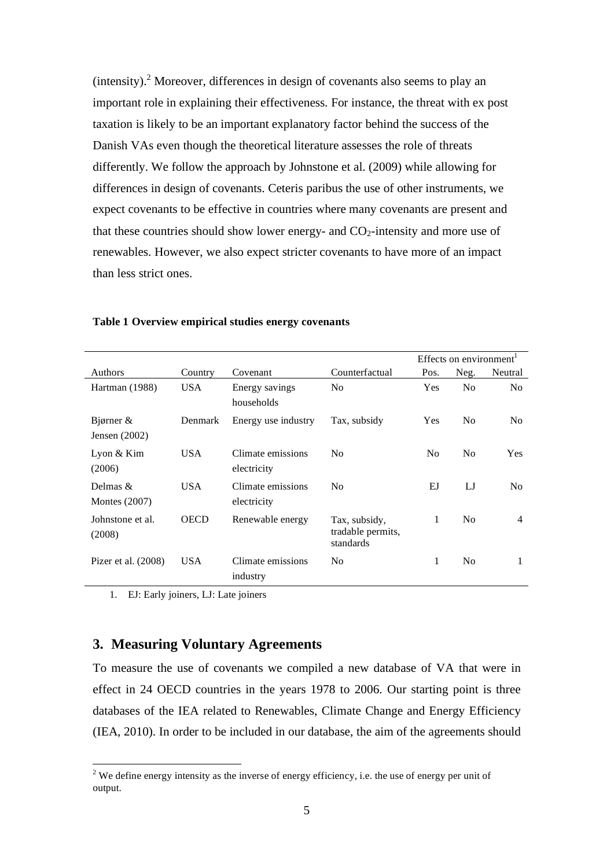$(intensity).$ <sup>2</sup> Moreover, differences in design of covenants also seems to play an important role in explaining their effectiveness. For instance, the threat with ex post taxation is likely to be an important explanatory factor behind the success of the Danish VAs even though the theoretical literature assesses the role of threats differently. We follow the approach by Johnstone et al. (2009) while allowing for differences in design of covenants. Ceteris paribus the use of other instruments, we expect covenants to be effective in countries where many covenants are present and that these countries should show lower energy- and  $CO<sub>2</sub>$ -intensity and more use of renewables. However, we also expect stricter covenants to have more of an impact than less strict ones.

|                                 |             |                                  |                                                 |                | Effects on environment <sup>1</sup> |                |
|---------------------------------|-------------|----------------------------------|-------------------------------------------------|----------------|-------------------------------------|----------------|
| Authors                         | Country     | Covenant                         | Counterfactual                                  | Pos.           | Neg.                                | Neutral        |
| Hartman (1988)                  | <b>USA</b>  | Energy savings<br>households     | N <sub>0</sub>                                  | Yes            | N <sub>0</sub>                      | N <sub>0</sub> |
| Bjørner $\&$<br>Jensen $(2002)$ | Denmark     | Energy use industry              | Tax, subsidy                                    | <b>Yes</b>     | N <sub>0</sub>                      | N <sub>0</sub> |
| Lyon $&$ Kim<br>(2006)          | USA.        | Climate emissions<br>electricity | N <sub>0</sub>                                  | N <sub>0</sub> | N <sub>0</sub>                      | <b>Yes</b>     |
| Delmas $\&$<br>Montes $(2007)$  | USA.        | Climate emissions<br>electricity | N <sub>0</sub>                                  | EJ             | LJ                                  | N <sub>0</sub> |
| Johnstone et al.<br>(2008)      | <b>OECD</b> | Renewable energy                 | Tax, subsidy,<br>tradable permits,<br>standards | 1              | N <sub>0</sub>                      | 4              |
| Pizer et al. $(2008)$           | <b>USA</b>  | Climate emissions<br>industry    | N <sub>0</sub>                                  | 1              | N <sub>0</sub>                      | 1              |

#### **Table 1 Overview empirical studies energy covenants**

1. EJ: Early joiners, LJ: Late joiners

#### **3. Measuring Voluntary Agreements**

To measure the use of covenants we compiled a new database of VA that were in effect in 24 OECD countries in the years 1978 to 2006. Our starting point is three databases of the IEA related to Renewables, Climate Change and Energy Efficiency (IEA, 2010). In order to be included in our database, the aim of the agreements should

 $\frac{1}{2}$  We define energy intensity as the inverse of energy efficiency, i.e. the use of energy per unit of output.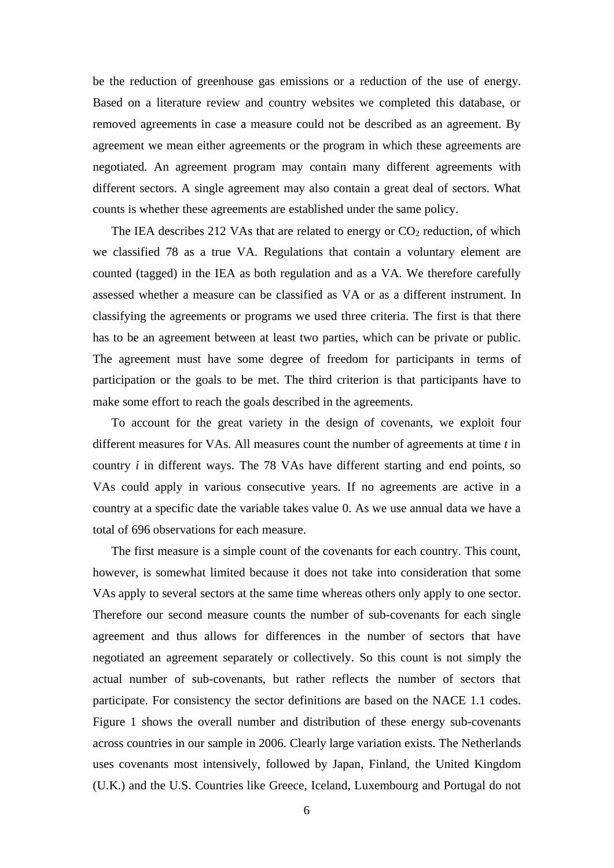be the reduction of greenhouse gas emissions or a reduction of the use of energy. Based on a literature review and country websites we completed this database, or removed agreements in case a measure could not be described as an agreement. By agreement we mean either agreements or the program in which these agreements are negotiated. An agreement program may contain many different agreements with different sectors. A single agreement may also contain a great deal of sectors. What counts is whether these agreements are established under the same policy.

The IEA describes 212 VAs that are related to energy or  $CO<sub>2</sub>$  reduction, of which we classified 78 as a true VA. Regulations that contain a voluntary element are counted (tagged) in the IEA as both regulation and as a VA. We therefore carefully assessed whether a measure can be classified as VA or as a different instrument. In classifying the agreements or programs we used three criteria. The first is that there has to be an agreement between at least two parties, which can be private or public. The agreement must have some degree of freedom for participants in terms of participation or the goals to be met. The third criterion is that participants have to make some effort to reach the goals described in the agreements.

To account for the great variety in the design of covenants, we exploit four different measures for VAs. All measures count the number of agreements at time *t* in country *i* in different ways. The 78 VAs have different starting and end points, so VAs could apply in various consecutive years. If no agreements are active in a country at a specific date the variable takes value 0. As we use annual data we have a total of 696 observations for each measure.

The first measure is a simple count of the covenants for each country. This count, however, is somewhat limited because it does not take into consideration that some VAs apply to several sectors at the same time whereas others only apply to one sector. Therefore our second measure counts the number of sub-covenants for each single agreement and thus allows for differences in the number of sectors that have negotiated an agreement separately or collectively. So this count is not simply the actual number of sub-covenants, but rather reflects the number of sectors that participate. For consistency the sector definitions are based on the NACE 1.1 codes. Figure 1 shows the overall number and distribution of these energy sub-covenants across countries in our sample in 2006. Clearly large variation exists. The Netherlands uses covenants most intensively, followed by Japan, Finland, the United Kingdom (U.K.) and the U.S. Countries like Greece, Iceland, Luxembourg and Portugal do not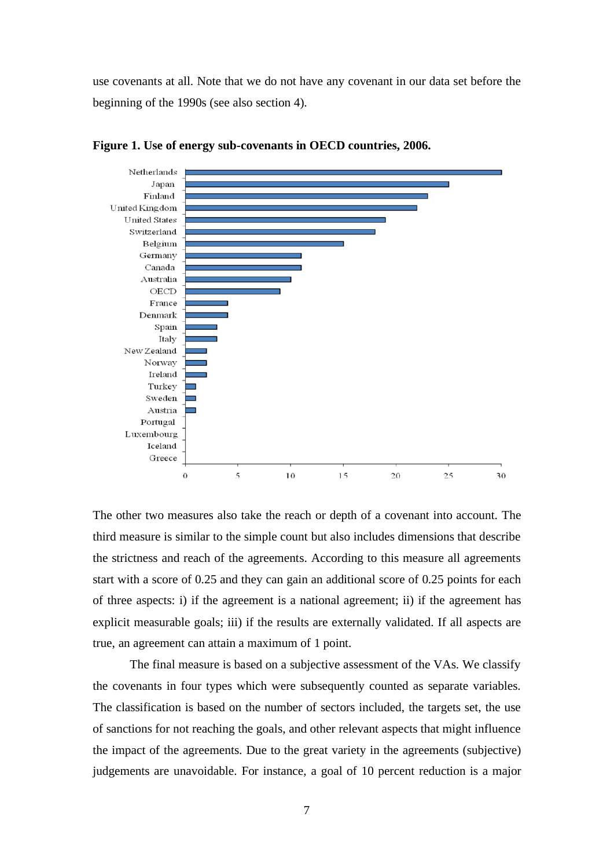use covenants at all. Note that we do not have any covenant in our data set before the beginning of the 1990s (see also section 4).



**Figure 1. Use of energy sub-covenants in OECD countries, 2006.**

The other two measures also take the reach or depth of a covenant into account. The third measure is similar to the simple count but also includes dimensions that describe the strictness and reach of the agreements. According to this measure all agreements start with a score of 0.25 and they can gain an additional score of 0.25 points for each of three aspects: i) if the agreement is a national agreement; ii) if the agreement has explicit measurable goals; iii) if the results are externally validated. If all aspects are true, an agreement can attain a maximum of 1 point.

The final measure is based on a subjective assessment of the VAs. We classify the covenants in four types which were subsequently counted as separate variables. The classification is based on the number of sectors included, the targets set, the use of sanctions for not reaching the goals, and other relevant aspects that might influence the impact of the agreements. Due to the great variety in the agreements (subjective) judgements are unavoidable. For instance, a goal of 10 percent reduction is a major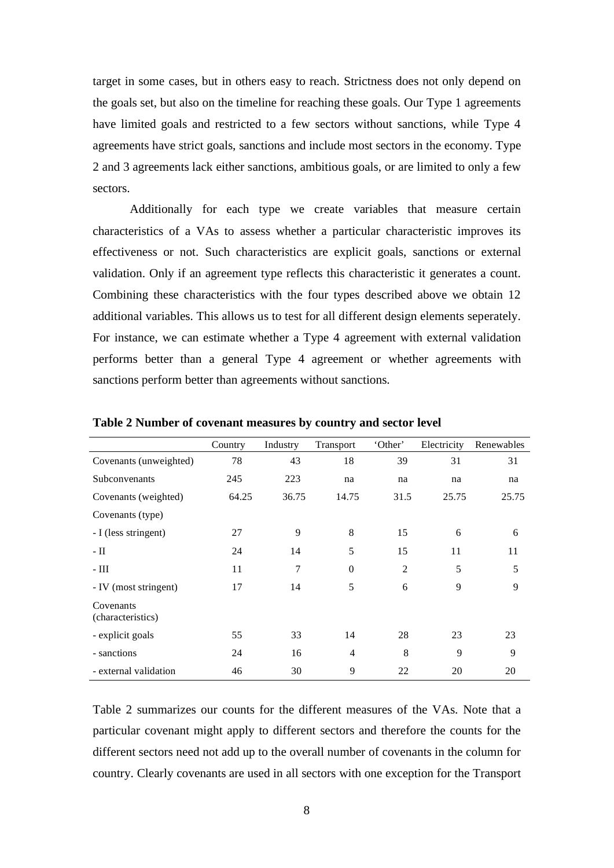target in some cases, but in others easy to reach. Strictness does not only depend on the goals set, but also on the timeline for reaching these goals. Our Type 1 agreements have limited goals and restricted to a few sectors without sanctions, while Type 4 agreements have strict goals, sanctions and include most sectors in the economy. Type 2 and 3 agreements lack either sanctions, ambitious goals, or are limited to only a few sectors.

Additionally for each type we create variables that measure certain characteristics of a VAs to assess whether a particular characteristic improves its effectiveness or not. Such characteristics are explicit goals, sanctions or external validation. Only if an agreement type reflects this characteristic it generates a count. Combining these characteristics with the four types described above we obtain 12 additional variables. This allows us to test for all different design elements seperately. For instance, we can estimate whether a Type 4 agreement with external validation performs better than a general Type 4 agreement or whether agreements with sanctions perform better than agreements without sanctions.

|                                | Country | Industry       | Transport      | 'Other' | Electricity | Renewables |
|--------------------------------|---------|----------------|----------------|---------|-------------|------------|
| Covenants (unweighted)         | 78      | 43             | 18             | 39      | 31          | 31         |
| Subconvenants                  | 245     | 223            | na             | na      | na          | na         |
| Covenants (weighted)           | 64.25   | 36.75          | 14.75          | 31.5    | 25.75       | 25.75      |
| Covenants (type)               |         |                |                |         |             |            |
| - I (less stringent)           | 27      | 9              | 8              | 15      | 6           | 6          |
| $-II$                          | 24      | 14             | 5              | 15      | 11          | 11         |
| - III                          | 11      | $\overline{7}$ | $\overline{0}$ | 2       | 5           | 5          |
| - IV (most stringent)          | 17      | 14             | 5              | 6       | 9           | 9          |
| Covenants<br>(characteristics) |         |                |                |         |             |            |
| - explicit goals               | 55      | 33             | 14             | 28      | 23          | 23         |
| - sanctions                    | 24      | 16             | $\overline{4}$ | 8       | 9           | 9          |
| - external validation          | 46      | 30             | 9              | 22      | 20          | 20         |

**Table 2 Number of covenant measures by country and sector level** 

Table 2 summarizes our counts for the different measures of the VAs. Note that a particular covenant might apply to different sectors and therefore the counts for the different sectors need not add up to the overall number of covenants in the column for country. Clearly covenants are used in all sectors with one exception for the Transport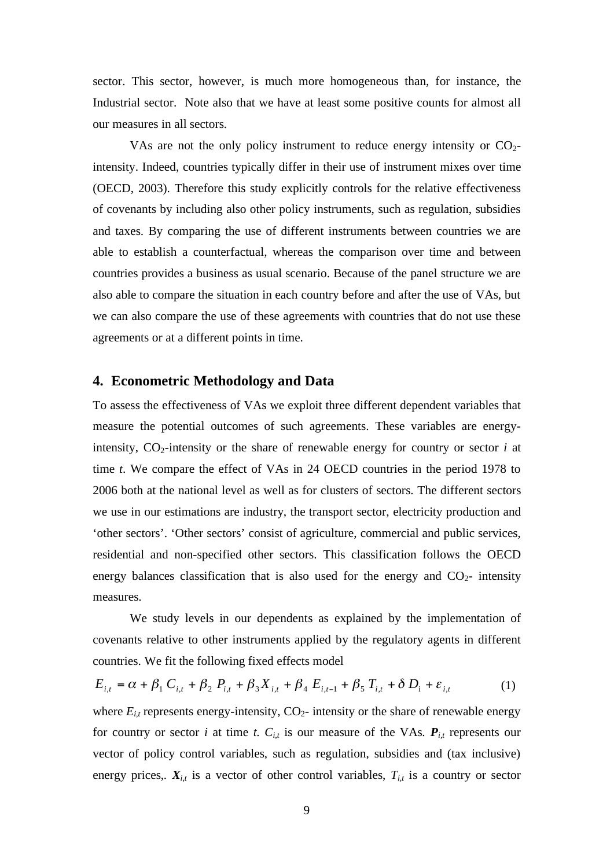sector. This sector, however, is much more homogeneous than, for instance, the Industrial sector. Note also that we have at least some positive counts for almost all our measures in all sectors.

VAs are not the only policy instrument to reduce energy intensity or  $CO<sub>2</sub>$ intensity. Indeed, countries typically differ in their use of instrument mixes over time (OECD, 2003). Therefore this study explicitly controls for the relative effectiveness of covenants by including also other policy instruments, such as regulation, subsidies and taxes. By comparing the use of different instruments between countries we are able to establish a counterfactual, whereas the comparison over time and between countries provides a business as usual scenario. Because of the panel structure we are also able to compare the situation in each country before and after the use of VAs, but we can also compare the use of these agreements with countries that do not use these agreements or at a different points in time.

#### **4. Econometric Methodology and Data**

To assess the effectiveness of VAs we exploit three different dependent variables that measure the potential outcomes of such agreements. These variables are energyintensity,  $CO_2$ -intensity or the share of renewable energy for country or sector *i* at time *t*. We compare the effect of VAs in 24 OECD countries in the period 1978 to 2006 both at the national level as well as for clusters of sectors. The different sectors we use in our estimations are industry, the transport sector, electricity production and 'other sectors'. 'Other sectors' consist of agriculture, commercial and public services, residential and non-specified other sectors. This classification follows the OECD energy balances classification that is also used for the energy and  $CO<sub>2</sub>$ - intensity measures.

We study levels in our dependents as explained by the implementation of covenants relative to other instruments applied by the regulatory agents in different countries. We fit the following fixed effects model

$$
E_{i,t} = \alpha + \beta_1 C_{i,t} + \beta_2 P_{i,t} + \beta_3 X_{i,t} + \beta_4 E_{i,t-1} + \beta_5 T_{i,t} + \delta D_i + \varepsilon_{i,t}
$$
 (1)

where  $E_{i,t}$  represents energy-intensity,  $CO_2$ - intensity or the share of renewable energy for country or sector *i* at time *t*.  $C_{i,t}$  is our measure of the VAs.  $P_{i,t}$  represents our vector of policy control variables, such as regulation, subsidies and (tax inclusive) energy prices,.  $X_{i,t}$  is a vector of other control variables,  $T_{i,t}$  is a country or sector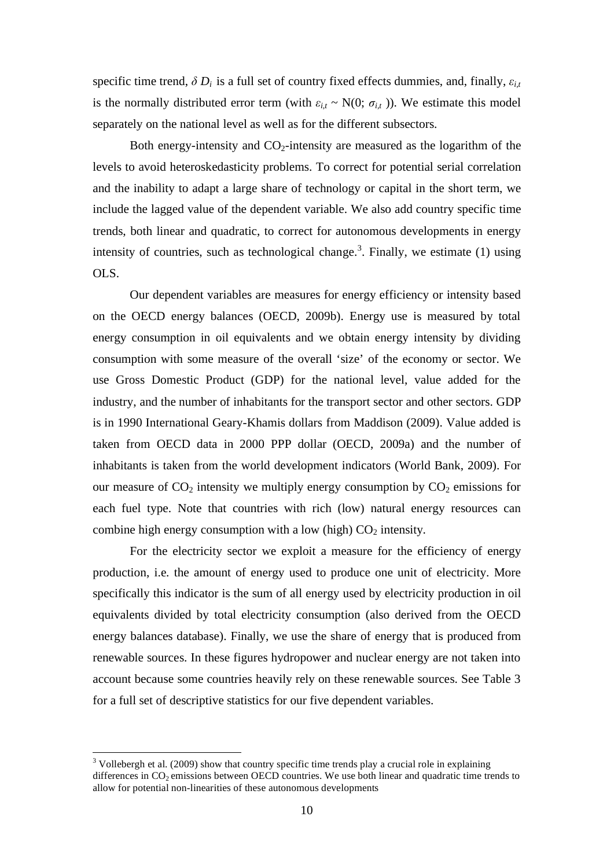specific time trend,  $\delta D_i$  is a full set of country fixed effects dummies, and, finally,  $\varepsilon_{i,t}$ is the normally distributed error term (with  $\varepsilon_{i,t} \sim N(0; \sigma_{i,t})$ ). We estimate this model separately on the national level as well as for the different subsectors.

Both energy-intensity and  $CO<sub>2</sub>$ -intensity are measured as the logarithm of the levels to avoid heteroskedasticity problems. To correct for potential serial correlation and the inability to adapt a large share of technology or capital in the short term, we include the lagged value of the dependent variable. We also add country specific time trends, both linear and quadratic, to correct for autonomous developments in energy intensity of countries, such as technological change.<sup>3</sup>. Finally, we estimate  $(1)$  using OLS.

Our dependent variables are measures for energy efficiency or intensity based on the OECD energy balances (OECD, 2009b). Energy use is measured by total energy consumption in oil equivalents and we obtain energy intensity by dividing consumption with some measure of the overall 'size' of the economy or sector. We use Gross Domestic Product (GDP) for the national level, value added for the industry, and the number of inhabitants for the transport sector and other sectors. GDP is in 1990 International Geary-Khamis dollars from Maddison (2009). Value added is taken from OECD data in 2000 PPP dollar (OECD, 2009a) and the number of inhabitants is taken from the world development indicators (World Bank, 2009). For our measure of  $CO<sub>2</sub>$  intensity we multiply energy consumption by  $CO<sub>2</sub>$  emissions for each fuel type. Note that countries with rich (low) natural energy resources can combine high energy consumption with a low (high)  $CO<sub>2</sub>$  intensity.

For the electricity sector we exploit a measure for the efficiency of energy production, i.e. the amount of energy used to produce one unit of electricity. More specifically this indicator is the sum of all energy used by electricity production in oil equivalents divided by total electricity consumption (also derived from the OECD energy balances database). Finally, we use the share of energy that is produced from renewable sources. In these figures hydropower and nuclear energy are not taken into account because some countries heavily rely on these renewable sources. See Table 3 for a full set of descriptive statistics for our five dependent variables.

1

 $3$  Vollebergh et al. (2009) show that country specific time trends play a crucial role in explaining differences in  $CO<sub>2</sub>$  emissions between OECD countries. We use both linear and quadratic time trends to allow for potential non-linearities of these autonomous developments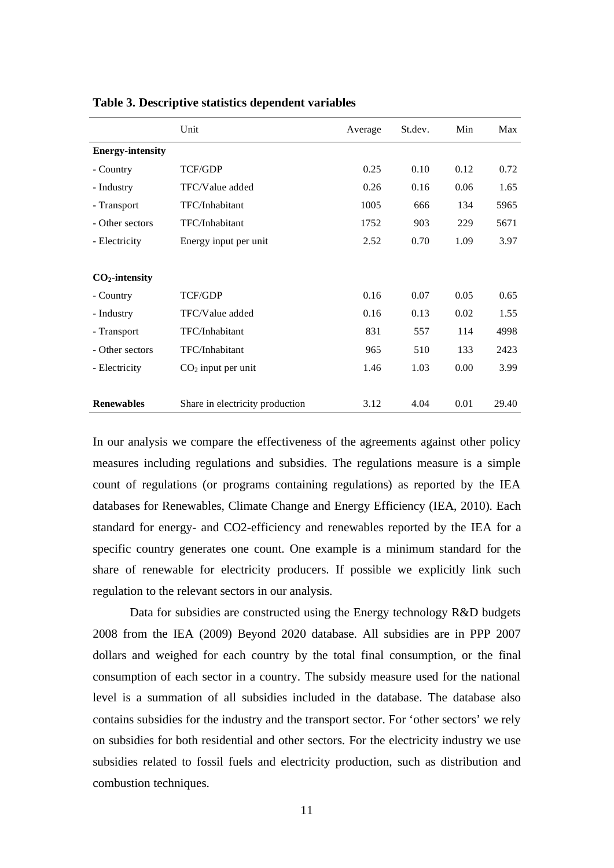|                         | Unit                            | Average | St.dev. | Min  | Max   |
|-------------------------|---------------------------------|---------|---------|------|-------|
| <b>Energy-intensity</b> |                                 |         |         |      |       |
| - Country               | <b>TCF/GDP</b>                  | 0.25    | 0.10    | 0.12 | 0.72  |
| - Industry              | TFC/Value added                 | 0.26    | 0.16    | 0.06 | 1.65  |
| - Transport             | TFC/Inhabitant                  | 1005    | 666     | 134  | 5965  |
| - Other sectors         | TFC/Inhabitant                  | 1752    | 903     | 229  | 5671  |
| - Electricity           | Energy input per unit           | 2.52    | 0.70    | 1.09 | 3.97  |
|                         |                                 |         |         |      |       |
| $CO2$ -intensity        |                                 |         |         |      |       |
| - Country               | <b>TCF/GDP</b>                  | 0.16    | 0.07    | 0.05 | 0.65  |
| - Industry              | TFC/Value added                 | 0.16    | 0.13    | 0.02 | 1.55  |
| - Transport             | TFC/Inhabitant                  | 831     | 557     | 114  | 4998  |
| - Other sectors         | TFC/Inhabitant                  | 965     | 510     | 133  | 2423  |
| - Electricity           | $CO2$ input per unit            | 1.46    | 1.03    | 0.00 | 3.99  |
|                         |                                 |         |         |      |       |
| <b>Renewables</b>       | Share in electricity production | 3.12    | 4.04    | 0.01 | 29.40 |

**Table 3. Descriptive statistics dependent variables**

In our analysis we compare the effectiveness of the agreements against other policy measures including regulations and subsidies. The regulations measure is a simple count of regulations (or programs containing regulations) as reported by the IEA databases for Renewables, Climate Change and Energy Efficiency (IEA, 2010). Each standard for energy- and CO2-efficiency and renewables reported by the IEA for a specific country generates one count. One example is a minimum standard for the share of renewable for electricity producers. If possible we explicitly link such regulation to the relevant sectors in our analysis.

Data for subsidies are constructed using the Energy technology R&D budgets 2008 from the IEA (2009) Beyond 2020 database. All subsidies are in PPP 2007 dollars and weighed for each country by the total final consumption, or the final consumption of each sector in a country. The subsidy measure used for the national level is a summation of all subsidies included in the database. The database also contains subsidies for the industry and the transport sector. For 'other sectors' we rely on subsidies for both residential and other sectors. For the electricity industry we use subsidies related to fossil fuels and electricity production, such as distribution and combustion techniques.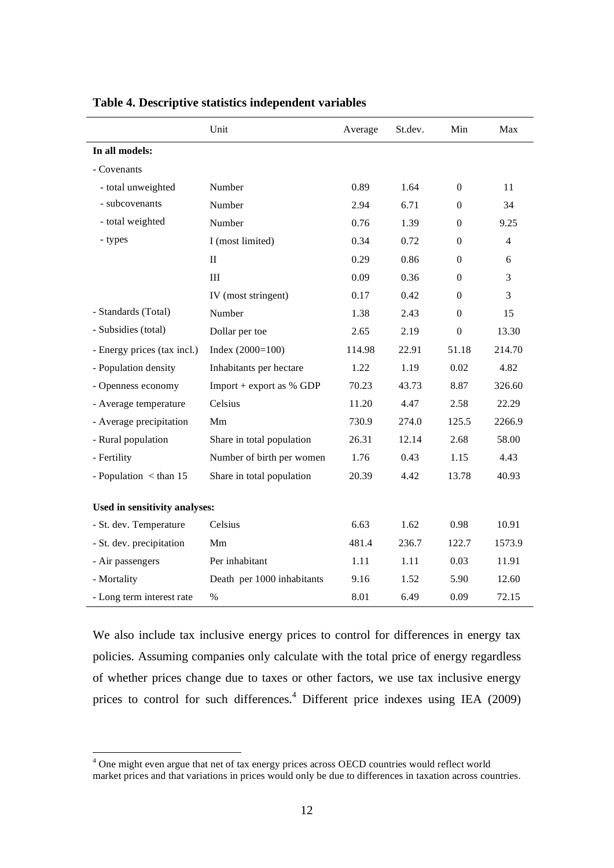|                                | Unit                       | Average | St.dev. | Min            | Max    |
|--------------------------------|----------------------------|---------|---------|----------------|--------|
| In all models:                 |                            |         |         |                |        |
| - Covenants                    |                            |         |         |                |        |
| - total unweighted             | Number                     | 0.89    | 1.64    | $\Omega$       | 11     |
| - subcovenants                 | Number                     | 2.94    | 6.71    | $\Omega$       | 34     |
| - total weighted               | Number                     | 0.76    | 1.39    | $\overline{0}$ | 9.25   |
| - types                        | I (most limited)           | 0.34    | 0.72    | $\Omega$       | 4      |
|                                | $\mathbf{I}$               | 0.29    | 0.86    | $\overline{0}$ | 6      |
|                                | $\rm III$                  | 0.09    | 0.36    | $\Omega$       | 3      |
|                                | IV (most stringent)        | 0.17    | 0.42    | $\Omega$       | 3      |
| - Standards (Total)            | Number                     | 1.38    | 2.43    | $\overline{0}$ | 15     |
| - Subsidies (total)            | Dollar per toe             | 2.65    | 2.19    | $\overline{0}$ | 13.30  |
| - Energy prices (tax incl.)    | Index $(2000=100)$         | 114.98  | 22.91   | 51.18          | 214.70 |
| - Population density           | Inhabitants per hectare    | 1.22    | 1.19    | 0.02           | 4.82   |
| - Openness economy             | Import + export as $%$ GDP | 70.23   | 43.73   | 8.87           | 326.60 |
| - Average temperature          | Celsius                    | 11.20   | 4.47    | 2.58           | 22.29  |
| - Average precipitation        | Mm                         | 730.9   | 274.0   | 125.5          | 2266.9 |
| - Rural population             | Share in total population  | 26.31   | 12.14   | 2.68           | 58.00  |
| - Fertility                    | Number of birth per women  | 1.76    | 0.43    | 1.15           | 4.43   |
| - Population $\langle$ than 15 | Share in total population  | 20.39   | 4.42    | 13.78          | 40.93  |
|                                |                            |         |         |                |        |
| Used in sensitivity analyses:  |                            |         |         |                |        |
| - St. dev. Temperature         | Celsius                    | 6.63    | 1.62    | 0.98           | 10.91  |
| - St. dev. precipitation       | Mm                         | 481.4   | 236.7   | 122.7          | 1573.9 |
| - Air passengers               | Per inhabitant             | 1.11    | 1.11    | 0.03           | 11.91  |
| - Mortality                    | Death per 1000 inhabitants | 9.16    | 1.52    | 5.90           | 12.60  |
| - Long term interest rate      | $\%$                       | 8.01    | 6.49    | 0.09           | 72.15  |

#### **Table 4. Descriptive statistics independent variables**

We also include tax inclusive energy prices to control for differences in energy tax policies. Assuming companies only calculate with the total price of energy regardless of whether prices change due to taxes or other factors, we use tax inclusive energy prices to control for such differences.<sup>4</sup> Different price indexes using IEA (2009)

The might even argue that net of tax energy prices across OECD countries would reflect world market prices and that variations in prices would only be due to differences in taxation across countries.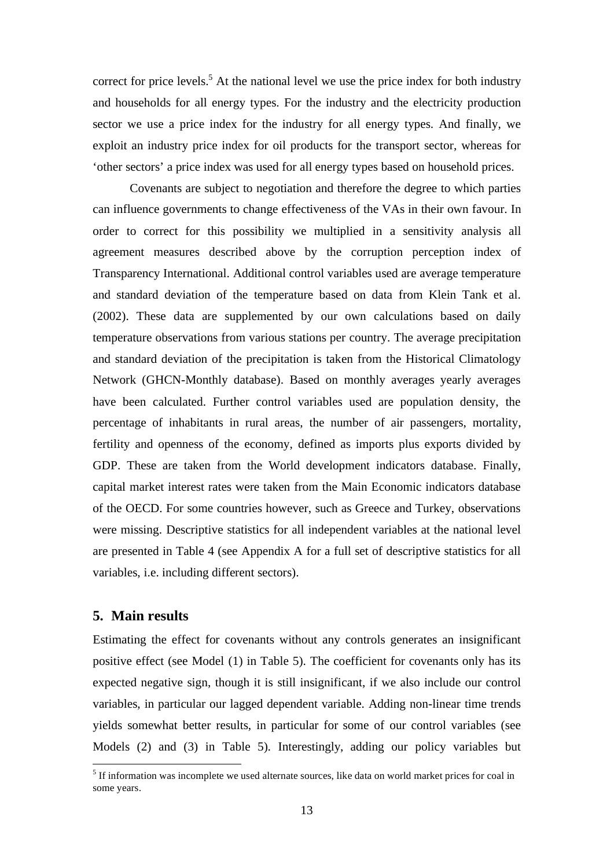correct for price levels.<sup>5</sup> At the national level we use the price index for both industry and households for all energy types. For the industry and the electricity production sector we use a price index for the industry for all energy types. And finally, we exploit an industry price index for oil products for the transport sector, whereas for 'other sectors' a price index was used for all energy types based on household prices.

Covenants are subject to negotiation and therefore the degree to which parties can influence governments to change effectiveness of the VAs in their own favour. In order to correct for this possibility we multiplied in a sensitivity analysis all agreement measures described above by the corruption perception index of Transparency International. Additional control variables used are average temperature and standard deviation of the temperature based on data from Klein Tank et al. (2002). These data are supplemented by our own calculations based on daily temperature observations from various stations per country. The average precipitation and standard deviation of the precipitation is taken from the Historical Climatology Network (GHCN-Monthly database). Based on monthly averages yearly averages have been calculated. Further control variables used are population density, the percentage of inhabitants in rural areas, the number of air passengers, mortality, fertility and openness of the economy, defined as imports plus exports divided by GDP. These are taken from the World development indicators database. Finally, capital market interest rates were taken from the Main Economic indicators database of the OECD. For some countries however, such as Greece and Turkey, observations were missing. Descriptive statistics for all independent variables at the national level are presented in Table 4 (see Appendix A for a full set of descriptive statistics for all variables, i.e. including different sectors).

#### **5. Main results**

1

Estimating the effect for covenants without any controls generates an insignificant positive effect (see Model (1) in Table 5). The coefficient for covenants only has its expected negative sign, though it is still insignificant, if we also include our control variables, in particular our lagged dependent variable. Adding non-linear time trends yields somewhat better results, in particular for some of our control variables (see Models (2) and (3) in Table 5). Interestingly, adding our policy variables but

<sup>&</sup>lt;sup>5</sup> If information was incomplete we used alternate sources, like data on world market prices for coal in some years.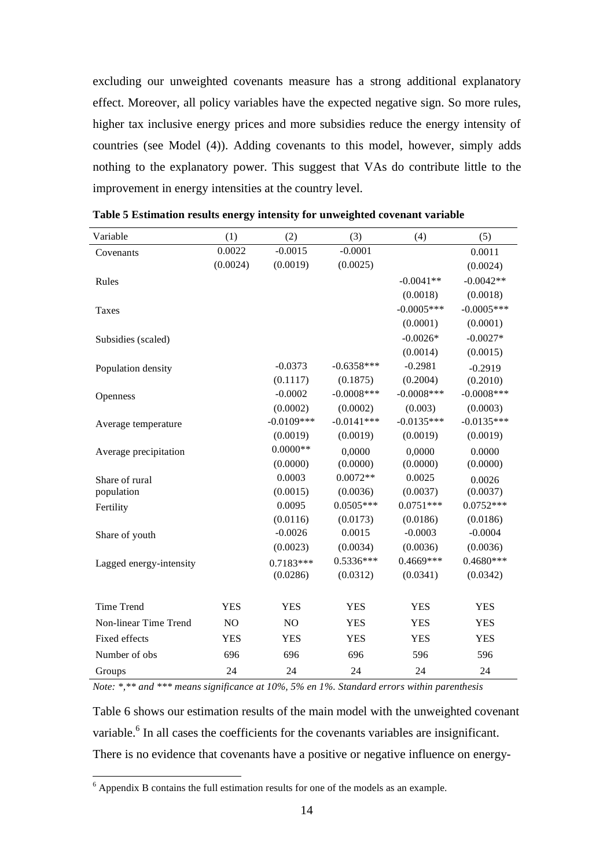excluding our unweighted covenants measure has a strong additional explanatory effect. Moreover, all policy variables have the expected negative sign. So more rules, higher tax inclusive energy prices and more subsidies reduce the energy intensity of countries (see Model (4)). Adding covenants to this model, however, simply adds nothing to the explanatory power. This suggest that VAs do contribute little to the improvement in energy intensities at the country level.

| Variable                | (1)        | (2)          | (3)           | (4)           | (5)           |
|-------------------------|------------|--------------|---------------|---------------|---------------|
| Covenants               | 0.0022     | $-0.0015$    | $-0.0001$     |               | 0.0011        |
|                         | (0.0024)   | (0.0019)     | (0.0025)      |               | (0.0024)      |
| Rules                   |            |              |               | $-0.0041**$   | $-0.0042**$   |
|                         |            |              |               | (0.0018)      | (0.0018)      |
| <b>Taxes</b>            |            |              |               | $-0.0005***$  | $-0.0005***$  |
|                         |            |              |               | (0.0001)      | (0.0001)      |
| Subsidies (scaled)      |            |              |               | $-0.0026*$    | $-0.0027*$    |
|                         |            |              |               | (0.0014)      | (0.0015)      |
| Population density      |            | $-0.0373$    | $-0.6358***$  | $-0.2981$     | $-0.2919$     |
|                         |            | (0.1117)     | (0.1875)      | (0.2004)      | (0.2010)      |
| Openness                |            | $-0.0002$    | $-0.0008$ *** | $-0.0008$ *** | $-0.0008$ *** |
|                         |            | (0.0002)     | (0.0002)      | (0.003)       | (0.0003)      |
| Average temperature     |            | $-0.0109***$ | $-0.0141***$  | $-0.0135***$  | $-0.0135***$  |
|                         |            | (0.0019)     | (0.0019)      | (0.0019)      | (0.0019)      |
| Average precipitation   |            | $0.0000**$   | 0,0000        | 0,0000        | 0.0000        |
|                         |            | (0.0000)     | (0.0000)      | (0.0000)      | (0.0000)      |
| Share of rural          |            | 0.0003       | $0.0072**$    | 0.0025        | 0.0026        |
| population              |            | (0.0015)     | (0.0036)      | (0.0037)      | (0.0037)      |
| Fertility               |            | 0.0095       | $0.0505***$   | $0.0751***$   | $0.0752***$   |
|                         |            | (0.0116)     | (0.0173)      | (0.0186)      | (0.0186)      |
| Share of youth          |            | $-0.0026$    | 0.0015        | $-0.0003$     | $-0.0004$     |
|                         |            | (0.0023)     | (0.0034)      | (0.0036)      | (0.0036)      |
| Lagged energy-intensity |            | $0.7183***$  | 0.5336***     | 0.4669***     | $0.4680***$   |
|                         |            | (0.0286)     | (0.0312)      | (0.0341)      | (0.0342)      |
| Time Trend              | <b>YES</b> | <b>YES</b>   | <b>YES</b>    | <b>YES</b>    | <b>YES</b>    |
| Non-linear Time Trend   | NO         | NO           | <b>YES</b>    | <b>YES</b>    | <b>YES</b>    |
| Fixed effects           | <b>YES</b> | <b>YES</b>   | <b>YES</b>    | <b>YES</b>    | <b>YES</b>    |
| Number of obs           | 696        | 696          | 696           | 596           | 596           |
| Groups                  | 24         | 24           | 24            | 24            | 24            |

**Table 5 Estimation results energy intensity for unweighted covenant variable** 

*Note: \*,\*\* and \*\*\* means significance at 10%, 5% en 1%. Standard errors within parenthesis* 

Table 6 shows our estimation results of the main model with the unweighted covenant variable.<sup>6</sup> In all cases the coefficients for the covenants variables are insignificant. There is no evidence that covenants have a positive or negative influence on energy-

<sup>&</sup>lt;sup>6</sup> Appendix B contains the full estimation results for one of the models as an example.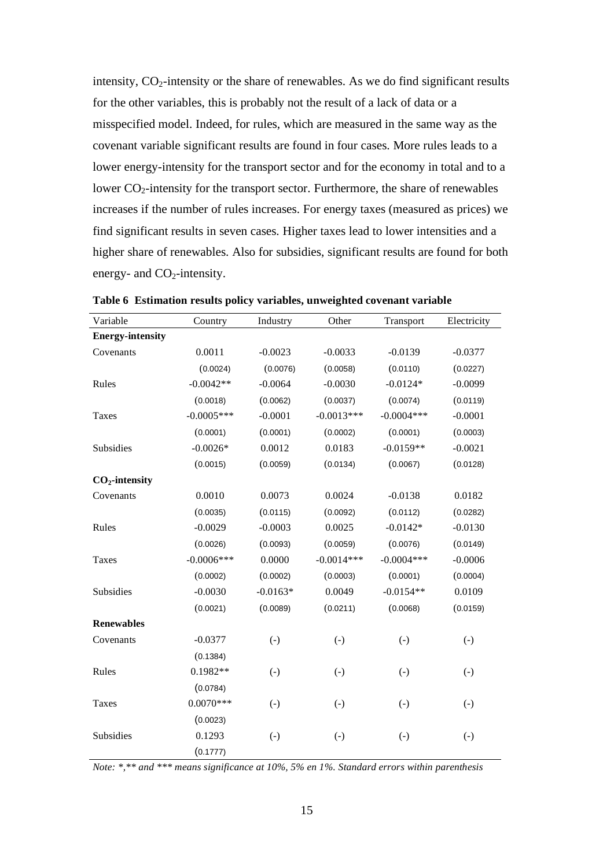intensity,  $CO<sub>2</sub>$ -intensity or the share of renewables. As we do find significant results for the other variables, this is probably not the result of a lack of data or a misspecified model. Indeed, for rules, which are measured in the same way as the covenant variable significant results are found in four cases. More rules leads to a lower energy-intensity for the transport sector and for the economy in total and to a lower  $CO_2$ -intensity for the transport sector. Furthermore, the share of renewables increases if the number of rules increases. For energy taxes (measured as prices) we find significant results in seven cases. Higher taxes lead to lower intensities and a higher share of renewables. Also for subsidies, significant results are found for both energy- and  $CO<sub>2</sub>$ -intensity.

| Variable                | Country      | Industry          | Other             | Transport    | Electricity       |
|-------------------------|--------------|-------------------|-------------------|--------------|-------------------|
| <b>Energy-intensity</b> |              |                   |                   |              |                   |
| Covenants               | 0.0011       | $-0.0023$         | $-0.0033$         | $-0.0139$    | $-0.0377$         |
|                         | (0.0024)     | (0.0076)          | (0.0058)          | (0.0110)     | (0.0227)          |
| Rules                   | $-0.0042**$  | $-0.0064$         | $-0.0030$         | $-0.0124*$   | $-0.0099$         |
|                         | (0.0018)     | (0.0062)          | (0.0037)          | (0.0074)     | (0.0119)          |
| <b>Taxes</b>            | $-0.0005***$ | $-0.0001$         | $-0.0013***$      | $-0.0004***$ | $-0.0001$         |
|                         | (0.0001)     | (0.0001)          | (0.0002)          | (0.0001)     | (0.0003)          |
| Subsidies               | $-0.0026*$   | 0.0012            | 0.0183            | $-0.0159**$  | $-0.0021$         |
|                         | (0.0015)     | (0.0059)          | (0.0134)          | (0.0067)     | (0.0128)          |
| $CO2$ -intensity        |              |                   |                   |              |                   |
| Covenants               | 0.0010       | 0.0073            | 0.0024            | $-0.0138$    | 0.0182            |
|                         | (0.0035)     | (0.0115)          | (0.0092)          | (0.0112)     | (0.0282)          |
| Rules                   | $-0.0029$    | $-0.0003$         | 0.0025            | $-0.0142*$   | $-0.0130$         |
|                         | (0.0026)     | (0.0093)          | (0.0059)          | (0.0076)     | (0.0149)          |
| <b>Taxes</b>            | $-0.0006***$ | 0.0000            | $-0.0014***$      | $-0.0004***$ | $-0.0006$         |
|                         | (0.0002)     | (0.0002)          | (0.0003)          | (0.0001)     | (0.0004)          |
| Subsidies               | $-0.0030$    | $-0.0163*$        | 0.0049            | $-0.0154**$  | 0.0109            |
|                         | (0.0021)     | (0.0089)          | (0.0211)          | (0.0068)     | (0.0159)          |
| <b>Renewables</b>       |              |                   |                   |              |                   |
| Covenants               | $-0.0377$    | $(-)$             | $(-)$             | $(-)$        | $\left( -\right)$ |
|                         | (0.1384)     |                   |                   |              |                   |
| Rules                   | $0.1982**$   | $\left( -\right)$ | $\left( -\right)$ | $(-)$        | $\left( -\right)$ |
|                         | (0.0784)     |                   |                   |              |                   |
| <b>Taxes</b>            | $0.0070***$  | $(-)$             | $(-)$             | $(-)$        | $\left( -\right)$ |
|                         | (0.0023)     |                   |                   |              |                   |
| Subsidies               | 0.1293       | $(-)$             | $(-)$             | $(-)$        | $\left( -\right)$ |
|                         | (0.1777)     |                   |                   |              |                   |

**Table 6 Estimation results policy variables, unweighted covenant variable** 

*Note: \*,\*\* and \*\*\* means significance at 10%, 5% en 1%. Standard errors within parenthesis*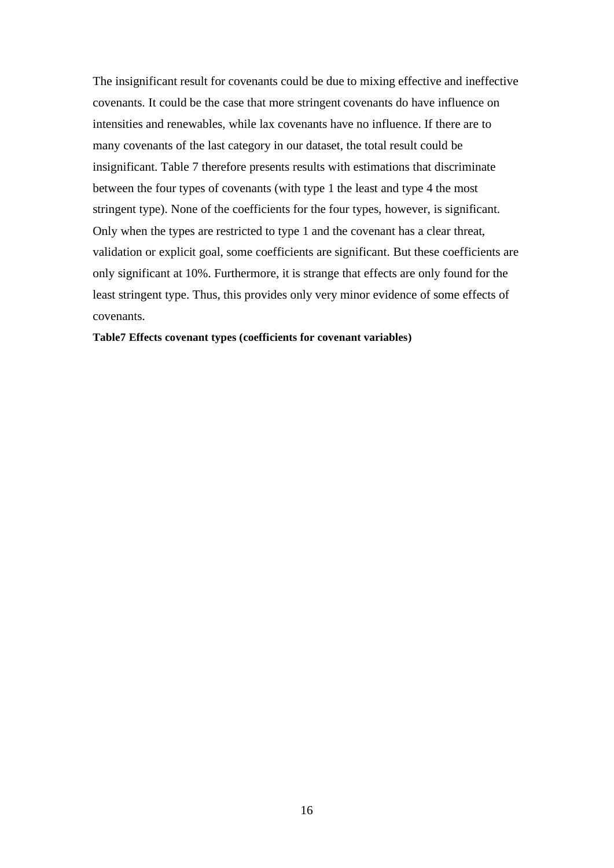The insignificant result for covenants could be due to mixing effective and ineffective covenants. It could be the case that more stringent covenants do have influence on intensities and renewables, while lax covenants have no influence. If there are to many covenants of the last category in our dataset, the total result could be insignificant. Table 7 therefore presents results with estimations that discriminate between the four types of covenants (with type 1 the least and type 4 the most stringent type). None of the coefficients for the four types, however, is significant. Only when the types are restricted to type 1 and the covenant has a clear threat, validation or explicit goal, some coefficients are significant. But these coefficients are only significant at 10%. Furthermore, it is strange that effects are only found for the least stringent type. Thus, this provides only very minor evidence of some effects of covenants.

#### **Table7 Effects covenant types (coefficients for covenant variables)**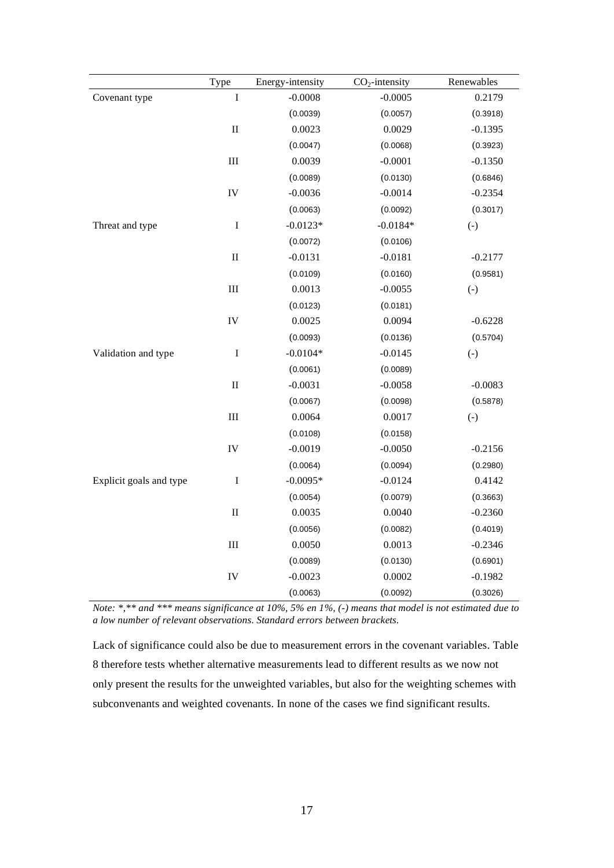|                         | Type                        | Energy-intensity | $CO2$ -intensity | Renewables |
|-------------------------|-----------------------------|------------------|------------------|------------|
| Covenant type           | $\bf I$                     | $-0.0008$        | $-0.0005$        | 0.2179     |
|                         |                             | (0.0039)         | (0.0057)         | (0.3918)   |
|                         | $\rm II$                    | 0.0023           | 0.0029           | $-0.1395$  |
|                         |                             | (0.0047)         | (0.0068)         | (0.3923)   |
|                         | $\rm III$                   | 0.0039           | $-0.0001$        | $-0.1350$  |
|                         |                             | (0.0089)         | (0.0130)         | (0.6846)   |
|                         | IV                          | $-0.0036$        | $-0.0014$        | $-0.2354$  |
|                         |                             | (0.0063)         | (0.0092)         | (0.3017)   |
| Threat and type         | $\bf I$                     | $-0.0123*$       | $-0.0184*$       | $(-)$      |
|                         |                             | (0.0072)         | (0.0106)         |            |
|                         | $\rm II$                    | $-0.0131$        | $-0.0181$        | $-0.2177$  |
|                         |                             | (0.0109)         | (0.0160)         | (0.9581)   |
|                         | $\rm III$                   | 0.0013           | $-0.0055$        | $(-)$      |
|                         |                             | (0.0123)         | (0.0181)         |            |
|                         | IV                          | 0.0025           | 0.0094           | $-0.6228$  |
|                         |                             | (0.0093)         | (0.0136)         | (0.5704)   |
| Validation and type     | $\bf I$                     | $-0.0104*$       | $-0.0145$        | $(-)$      |
|                         |                             | (0.0061)         | (0.0089)         |            |
|                         | $\rm II$                    | $-0.0031$        | $-0.0058$        | $-0.0083$  |
|                         |                             | (0.0067)         | (0.0098)         | (0.5878)   |
|                         | $\rm III$                   | 0.0064           | 0.0017           | $(-)$      |
|                         |                             | (0.0108)         | (0.0158)         |            |
|                         | IV                          | $-0.0019$        | $-0.0050$        | $-0.2156$  |
|                         |                             | (0.0064)         | (0.0094)         | (0.2980)   |
| Explicit goals and type | $\bf I$                     | $-0.0095*$       | $-0.0124$        | 0.4142     |
|                         |                             | (0.0054)         | (0.0079)         | (0.3663)   |
|                         | $\rm II$                    | 0.0035           | 0.0040           | $-0.2360$  |
|                         |                             | (0.0056)         | (0.0082)         | (0.4019)   |
|                         | $\mathop{\rm III}\nolimits$ | 0.0050           | 0.0013           | $-0.2346$  |
|                         |                             | (0.0089)         | (0.0130)         | (0.6901)   |
|                         | IV                          | $-0.0023$        | 0.0002           | $-0.1982$  |
|                         |                             | (0.0063)         | (0.0092)         | (0.3026)   |

*Note: \*,\*\* and \*\*\* means significance at 10%, 5% en 1%, (-) means that model is not estimated due to a low number of relevant observations. Standard errors between brackets.* 

Lack of significance could also be due to measurement errors in the covenant variables. Table 8 therefore tests whether alternative measurements lead to different results as we now not only present the results for the unweighted variables, but also for the weighting schemes with subconvenants and weighted covenants. In none of the cases we find significant results.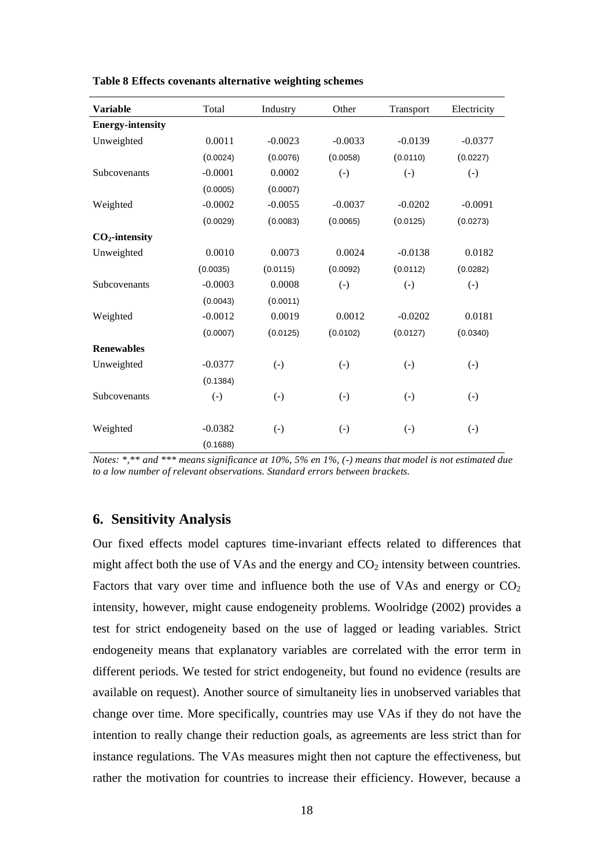| <b>Variable</b>         | Total             | Industry          | Other             | Transport         | Electricity       |
|-------------------------|-------------------|-------------------|-------------------|-------------------|-------------------|
| <b>Energy-intensity</b> |                   |                   |                   |                   |                   |
| Unweighted              | 0.0011            | $-0.0023$         | $-0.0033$         | $-0.0139$         | $-0.0377$         |
|                         | (0.0024)          | (0.0076)          | (0.0058)          | (0.0110)          | (0.0227)          |
| <b>Subcovenants</b>     | $-0.0001$         | 0.0002            | $(-)$             | $(-)$             | $\left( -\right)$ |
|                         | (0.0005)          | (0.0007)          |                   |                   |                   |
| Weighted                | $-0.0002$         | $-0.0055$         | $-0.0037$         | $-0.0202$         | $-0.0091$         |
|                         | (0.0029)          | (0.0083)          | (0.0065)          | (0.0125)          | (0.0273)          |
| $CO2$ -intensity        |                   |                   |                   |                   |                   |
| Unweighted              | 0.0010            | 0.0073            | 0.0024            | $-0.0138$         | 0.0182            |
|                         | (0.0035)          | (0.0115)          | (0.0092)          | (0.0112)          | (0.0282)          |
| Subcovenants            | $-0.0003$         | 0.0008            | $(-)$             | $\left( -\right)$ | $\left( -\right)$ |
|                         | (0.0043)          | (0.0011)          |                   |                   |                   |
| Weighted                | $-0.0012$         | 0.0019            | 0.0012            | $-0.0202$         | 0.0181            |
|                         | (0.0007)          | (0.0125)          | (0.0102)          | (0.0127)          | (0.0340)          |
| <b>Renewables</b>       |                   |                   |                   |                   |                   |
| Unweighted              | $-0.0377$         | $(-)$             | $(-)$             | $(-)$             | $\left( -\right)$ |
|                         | (0.1384)          |                   |                   |                   |                   |
| Subcovenants            | $\left( -\right)$ | $\left( -\right)$ | $\left( -\right)$ | $\left( -\right)$ | $(-)$             |
| Weighted                | $-0.0382$         | $\left( -\right)$ | $\left( -\right)$ | $\left( -\right)$ | $\left( -\right)$ |
|                         | (0.1688)          |                   |                   |                   |                   |

**Table 8 Effects covenants alternative weighting schemes** 

*Notes: \*,\*\* and \*\*\* means significance at 10%, 5% en 1%, (-) means that model is not estimated due to a low number of relevant observations. Standard errors between brackets.* 

#### **6. Sensitivity Analysis**

Our fixed effects model captures time-invariant effects related to differences that might affect both the use of VAs and the energy and  $CO<sub>2</sub>$  intensity between countries. Factors that vary over time and influence both the use of VAs and energy or  $CO<sub>2</sub>$ intensity, however, might cause endogeneity problems. Woolridge (2002) provides a test for strict endogeneity based on the use of lagged or leading variables. Strict endogeneity means that explanatory variables are correlated with the error term in different periods. We tested for strict endogeneity, but found no evidence (results are available on request). Another source of simultaneity lies in unobserved variables that change over time. More specifically, countries may use VAs if they do not have the intention to really change their reduction goals, as agreements are less strict than for instance regulations. The VAs measures might then not capture the effectiveness, but rather the motivation for countries to increase their efficiency. However, because a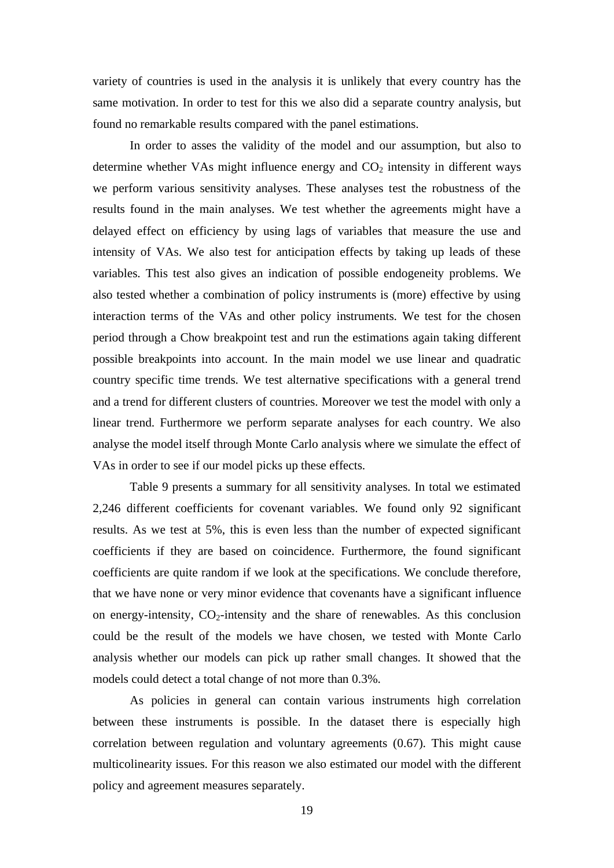variety of countries is used in the analysis it is unlikely that every country has the same motivation. In order to test for this we also did a separate country analysis, but found no remarkable results compared with the panel estimations.

In order to asses the validity of the model and our assumption, but also to determine whether VAs might influence energy and  $CO<sub>2</sub>$  intensity in different ways we perform various sensitivity analyses. These analyses test the robustness of the results found in the main analyses. We test whether the agreements might have a delayed effect on efficiency by using lags of variables that measure the use and intensity of VAs. We also test for anticipation effects by taking up leads of these variables. This test also gives an indication of possible endogeneity problems. We also tested whether a combination of policy instruments is (more) effective by using interaction terms of the VAs and other policy instruments. We test for the chosen period through a Chow breakpoint test and run the estimations again taking different possible breakpoints into account. In the main model we use linear and quadratic country specific time trends. We test alternative specifications with a general trend and a trend for different clusters of countries. Moreover we test the model with only a linear trend. Furthermore we perform separate analyses for each country. We also analyse the model itself through Monte Carlo analysis where we simulate the effect of VAs in order to see if our model picks up these effects.

Table 9 presents a summary for all sensitivity analyses. In total we estimated 2,246 different coefficients for covenant variables. We found only 92 significant results. As we test at 5%, this is even less than the number of expected significant coefficients if they are based on coincidence. Furthermore, the found significant coefficients are quite random if we look at the specifications. We conclude therefore, that we have none or very minor evidence that covenants have a significant influence on energy-intensity,  $CO_2$ -intensity and the share of renewables. As this conclusion could be the result of the models we have chosen, we tested with Monte Carlo analysis whether our models can pick up rather small changes. It showed that the models could detect a total change of not more than 0.3%.

As policies in general can contain various instruments high correlation between these instruments is possible. In the dataset there is especially high correlation between regulation and voluntary agreements (0.67). This might cause multicolinearity issues. For this reason we also estimated our model with the different policy and agreement measures separately.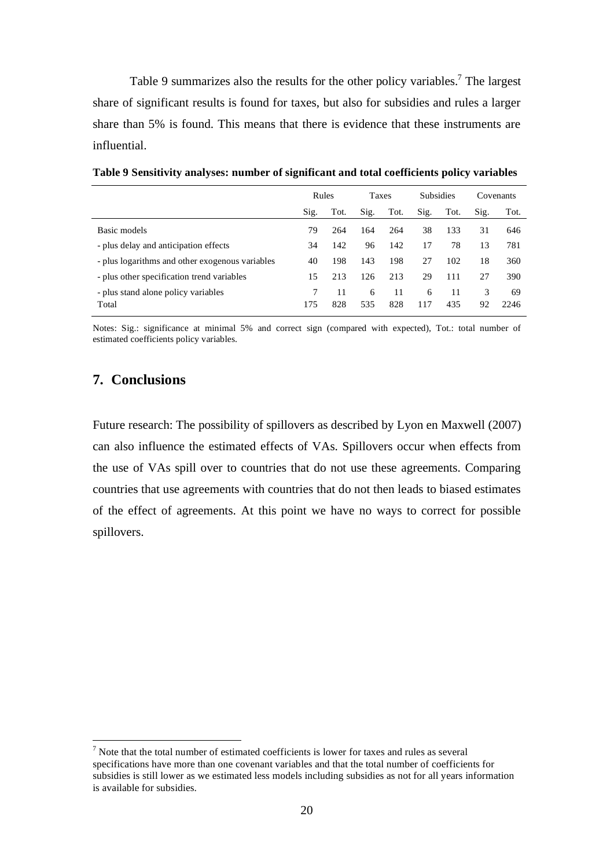Table 9 summarizes also the results for the other policy variables.<sup>7</sup> The largest share of significant results is found for taxes, but also for subsidies and rules a larger share than 5% is found. This means that there is evidence that these instruments are influential.

|                                                 | Rules |           | <b>Taxes</b> |           | <b>Subsidies</b> |           |         | Covenants  |
|-------------------------------------------------|-------|-----------|--------------|-----------|------------------|-----------|---------|------------|
|                                                 | Sig.  | Tot.      | Sig.         | Tot.      | Sig.             | Tot.      | Sig.    | Tot.       |
| Basic models                                    | 79.   | 264       | 164          | 264       | 38               | 133       | 31      | 646        |
| - plus delay and anticipation effects           | 34    | 142       | 96           | 142       | 17               | 78        | 13      | 781        |
| - plus logarithms and other exogenous variables | 40    | 198       | 143          | 198       | 27               | 102       | 18      | 360        |
| - plus other specification trend variables      | 15    | 213       | 126          | 213       | 29               | 111       | 27      | 390        |
| - plus stand alone policy variables<br>Total    | 175   | 11<br>828 | 6<br>535     | 11<br>828 | 6<br>117         | 11<br>435 | 3<br>92 | 69<br>2246 |

**Table 9 Sensitivity analyses: number of significant and total coefficients policy variables** 

Notes: Sig.: significance at minimal 5% and correct sign (compared with expected), Tot.: total number of estimated coefficients policy variables.

### **7. Conclusions**

<u>.</u>

Future research: The possibility of spillovers as described by Lyon en Maxwell (2007) can also influence the estimated effects of VAs. Spillovers occur when effects from the use of VAs spill over to countries that do not use these agreements. Comparing countries that use agreements with countries that do not then leads to biased estimates of the effect of agreements. At this point we have no ways to correct for possible spillovers.

 $<sup>7</sup>$  Note that the total number of estimated coefficients is lower for taxes and rules as several</sup> specifications have more than one covenant variables and that the total number of coefficients for subsidies is still lower as we estimated less models including subsidies as not for all years information is available for subsidies.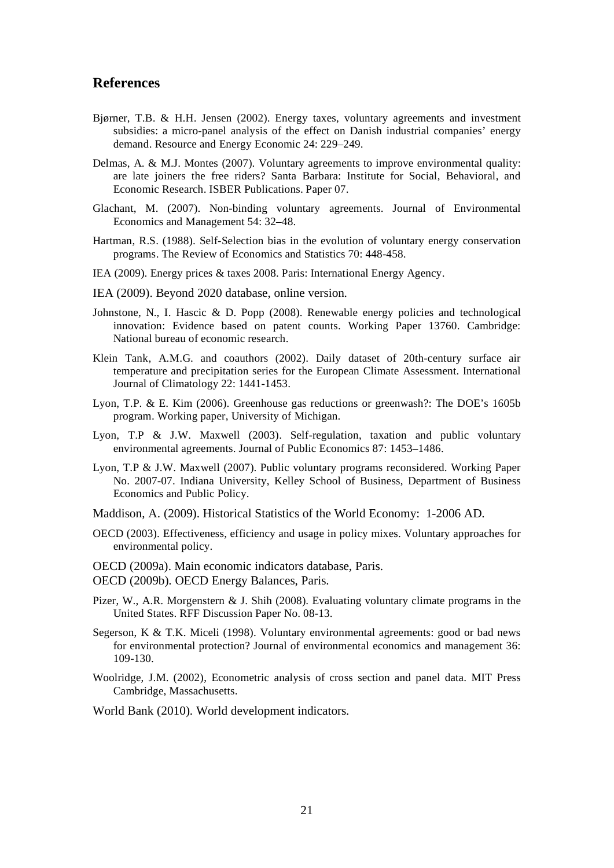#### **References**

- Bjørner, T.B. & H.H. Jensen (2002). Energy taxes, voluntary agreements and investment subsidies: a micro-panel analysis of the effect on Danish industrial companies' energy demand. Resource and Energy Economic 24: 229–249.
- Delmas, A. & M.J. Montes (2007). Voluntary agreements to improve environmental quality: are late joiners the free riders? Santa Barbara: Institute for Social, Behavioral, and Economic Research. ISBER Publications. Paper 07.
- Glachant, M. (2007). Non-binding voluntary agreements. Journal of Environmental Economics and Management 54: 32–48.
- Hartman, R.S. (1988). Self-Selection bias in the evolution of voluntary energy conservation programs. The Review of Economics and Statistics 70: 448-458.
- IEA (2009). Energy prices & taxes 2008. Paris: International Energy Agency.
- IEA (2009). Beyond 2020 database, online version.
- Johnstone, N., I. Hascic & D. Popp (2008). Renewable energy policies and technological innovation: Evidence based on patent counts. Working Paper 13760. Cambridge: National bureau of economic research.
- Klein Tank, A.M.G. and coauthors (2002). Daily dataset of 20th-century surface air temperature and precipitation series for the European Climate Assessment. International Journal of Climatology 22: 1441-1453.
- Lyon, T.P. & E. Kim (2006). Greenhouse gas reductions or greenwash?: The DOE's 1605b program. Working paper, University of Michigan.
- Lyon, T.P & J.W. Maxwell (2003). Self-regulation, taxation and public voluntary environmental agreements. Journal of Public Economics 87: 1453–1486.
- Lyon, T.P & J.W. Maxwell (2007). Public voluntary programs reconsidered. Working Paper No. 2007-07. Indiana University, Kelley School of Business, Department of Business Economics and Public Policy.
- Maddison, A. (2009). Historical Statistics of the World Economy: 1-2006 AD.
- OECD (2003). Effectiveness, efficiency and usage in policy mixes. Voluntary approaches for environmental policy.
- OECD (2009a). Main economic indicators database, Paris. OECD (2009b). OECD Energy Balances, Paris.
- Pizer, W., A.R. Morgenstern & J. Shih (2008). Evaluating voluntary climate programs in the United States. RFF Discussion Paper No. 08-13.
- Segerson, K & T.K. Miceli (1998). Voluntary environmental agreements: good or bad news for environmental protection? Journal of environmental economics and management 36: 109-130.
- Woolridge, J.M. (2002), Econometric analysis of cross section and panel data. MIT Press Cambridge, Massachusetts.

World Bank (2010). World development indicators.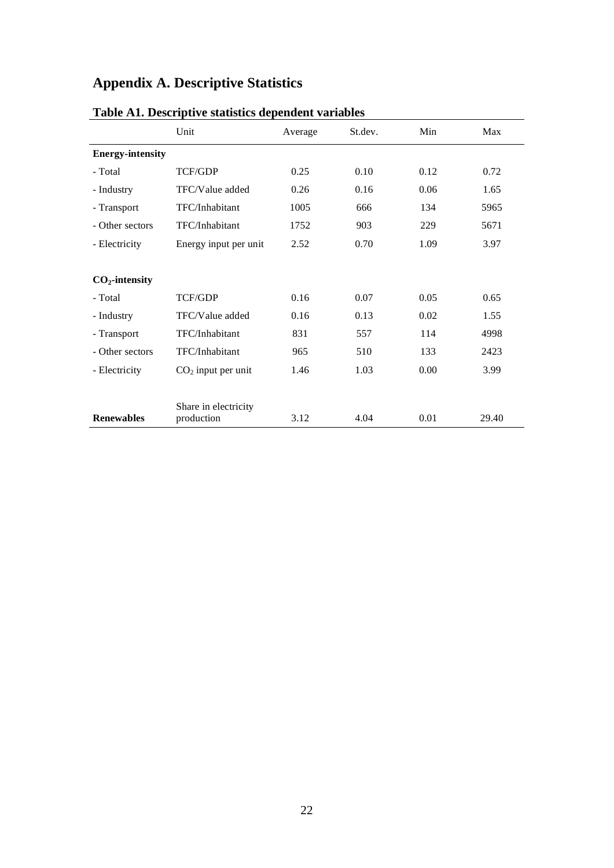# **Appendix A. Descriptive Statistics**

| Table AT. Descriptive statistics dependent variables |                                    |         |         |      |       |  |
|------------------------------------------------------|------------------------------------|---------|---------|------|-------|--|
|                                                      | Unit                               | Average | St.dev. | Min  | Max   |  |
| <b>Energy-intensity</b>                              |                                    |         |         |      |       |  |
| - Total                                              | TCF/GDP                            | 0.25    | 0.10    | 0.12 | 0.72  |  |
| - Industry                                           | TFC/Value added                    | 0.26    | 0.16    | 0.06 | 1.65  |  |
| - Transport                                          | TFC/Inhabitant                     | 1005    | 666     | 134  | 5965  |  |
| - Other sectors                                      | TFC/Inhabitant                     | 1752    | 903     | 229  | 5671  |  |
| - Electricity                                        | Energy input per unit              | 2.52    | 0.70    | 1.09 | 3.97  |  |
|                                                      |                                    |         |         |      |       |  |
| $CO2$ -intensity                                     |                                    |         |         |      |       |  |
| - Total                                              | <b>TCF/GDP</b>                     | 0.16    | 0.07    | 0.05 | 0.65  |  |
| - Industry                                           | TFC/Value added                    | 0.16    | 0.13    | 0.02 | 1.55  |  |
| - Transport                                          | TFC/Inhabitant                     | 831     | 557     | 114  | 4998  |  |
| - Other sectors                                      | TFC/Inhabitant                     | 965     | 510     | 133  | 2423  |  |
| - Electricity                                        | $CO2$ input per unit               | 1.46    | 1.03    | 0.00 | 3.99  |  |
|                                                      |                                    |         |         |      |       |  |
| <b>Renewables</b>                                    | Share in electricity<br>production | 3.12    | 4.04    | 0.01 | 29.40 |  |

### **Table A1. Descriptive statistics dependent variables**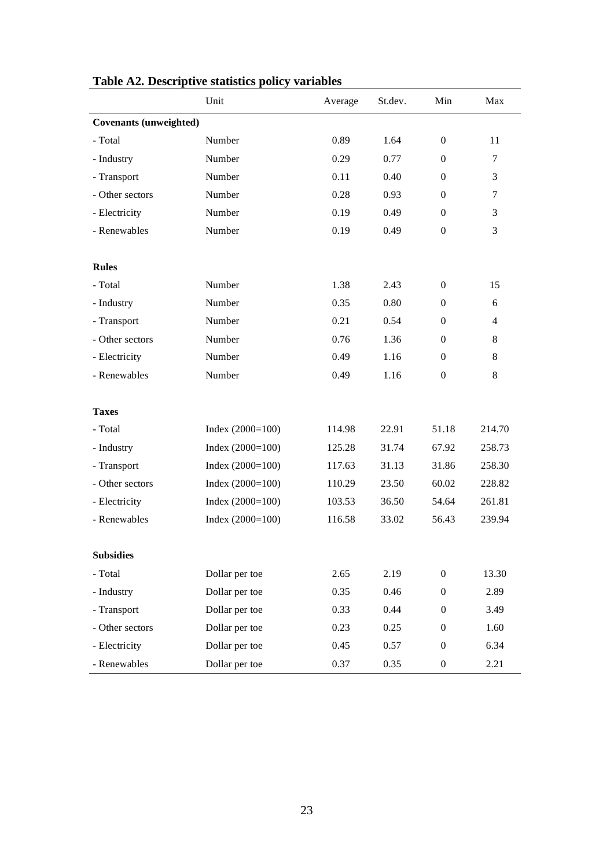| Table A2. Descriptive statistics policy variables |                    |         |         |                  |                |  |  |
|---------------------------------------------------|--------------------|---------|---------|------------------|----------------|--|--|
|                                                   | Unit               | Average | St.dev. | Min              | Max            |  |  |
| Covenants (unweighted)                            |                    |         |         |                  |                |  |  |
| - Total                                           | Number             | 0.89    | 1.64    | $\mathbf{0}$     | 11             |  |  |
| - Industry                                        | Number             | 0.29    | 0.77    | $\mathbf{0}$     | $\tau$         |  |  |
| - Transport                                       | Number             | 0.11    | 0.40    | $\Omega$         | 3              |  |  |
| - Other sectors                                   | Number             | 0.28    | 0.93    | $\overline{0}$   | $\tau$         |  |  |
| - Electricity                                     | Number             | 0.19    | 0.49    | $\Omega$         | 3              |  |  |
| - Renewables                                      | Number             | 0.19    | 0.49    | $\mathbf{0}$     | 3              |  |  |
| <b>Rules</b>                                      |                    |         |         |                  |                |  |  |
| - Total                                           | Number             | 1.38    | 2.43    | $\mathbf{0}$     | 15             |  |  |
| - Industry                                        | Number             | 0.35    | 0.80    | $\overline{0}$   | 6              |  |  |
| - Transport                                       | Number             | 0.21    | 0.54    | $\overline{0}$   | $\overline{4}$ |  |  |
| - Other sectors                                   | Number             | 0.76    | 1.36    | $\overline{0}$   | 8              |  |  |
| - Electricity                                     | Number             | 0.49    | 1.16    | $\mathbf{0}$     | 8              |  |  |
| - Renewables                                      | Number             | 0.49    | 1.16    | $\overline{0}$   | 8              |  |  |
| <b>Taxes</b>                                      |                    |         |         |                  |                |  |  |
| - Total                                           | Index $(2000=100)$ | 114.98  | 22.91   | 51.18            | 214.70         |  |  |
| - Industry                                        | Index $(2000=100)$ | 125.28  | 31.74   | 67.92            | 258.73         |  |  |
| - Transport                                       | Index $(2000=100)$ | 117.63  | 31.13   | 31.86            | 258.30         |  |  |
| - Other sectors                                   | Index $(2000=100)$ | 110.29  | 23.50   | 60.02            | 228.82         |  |  |
| - Electricity                                     | Index $(2000=100)$ | 103.53  | 36.50   | 54.64            | 261.81         |  |  |
| - Renewables                                      | Index $(2000=100)$ | 116.58  | 33.02   | 56.43            | 239.94         |  |  |
| <b>Subsidies</b>                                  |                    |         |         |                  |                |  |  |
| - Total                                           | Dollar per toe     | 2.65    | 2.19    | $\mathbf{0}$     | 13.30          |  |  |
| - Industry                                        | Dollar per toe     | 0.35    | 0.46    | $\overline{0}$   | 2.89           |  |  |
| - Transport                                       | Dollar per toe     | 0.33    | 0.44    | $\overline{0}$   | 3.49           |  |  |
| - Other sectors                                   | Dollar per toe     | 0.23    | 0.25    | $\Omega$         | 1.60           |  |  |
| - Electricity                                     | Dollar per toe     | 0.45    | 0.57    | $\mathbf{0}$     | 6.34           |  |  |
| - Renewables                                      | Dollar per toe     | 0.37    | 0.35    | $\boldsymbol{0}$ | 2.21           |  |  |

# **Table A2. Descriptive statistics policy variables**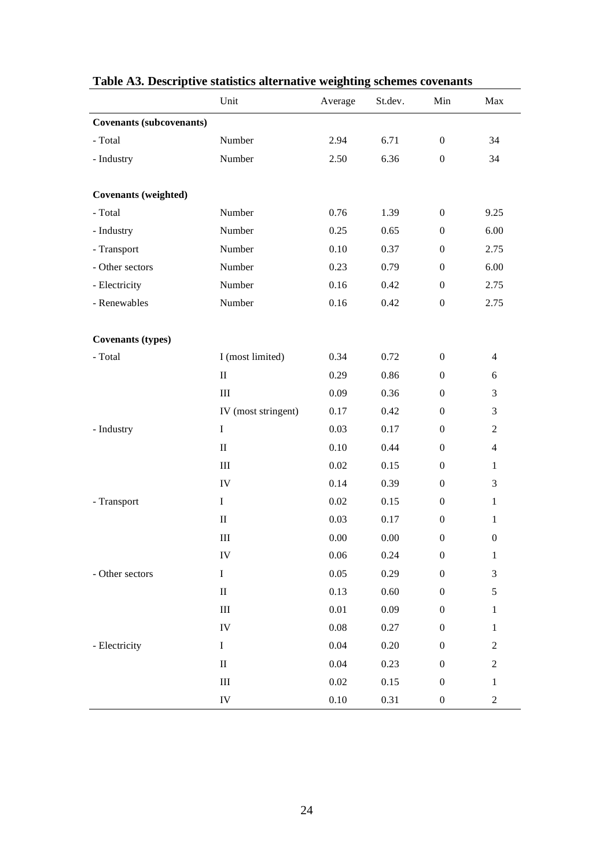|                                 |                     |          |          |                  | Table A3. Descriptive statistics alternative weighting schemes covenants |  |  |  |  |  |  |  |  |
|---------------------------------|---------------------|----------|----------|------------------|--------------------------------------------------------------------------|--|--|--|--|--|--|--|--|
|                                 | Unit                | Average  | St.dev.  | Min              | Max                                                                      |  |  |  |  |  |  |  |  |
| <b>Covenants (subcovenants)</b> |                     |          |          |                  |                                                                          |  |  |  |  |  |  |  |  |
| - Total                         | Number              | 2.94     | 6.71     | $\boldsymbol{0}$ | 34                                                                       |  |  |  |  |  |  |  |  |
| - Industry                      | Number              | 2.50     | 6.36     | $\boldsymbol{0}$ | 34                                                                       |  |  |  |  |  |  |  |  |
|                                 |                     |          |          |                  |                                                                          |  |  |  |  |  |  |  |  |
| <b>Covenants</b> (weighted)     |                     |          |          |                  |                                                                          |  |  |  |  |  |  |  |  |
| - Total                         | Number              | 0.76     | 1.39     | $\boldsymbol{0}$ | 9.25                                                                     |  |  |  |  |  |  |  |  |
| - Industry                      | Number              | 0.25     | 0.65     | $\boldsymbol{0}$ | 6.00                                                                     |  |  |  |  |  |  |  |  |
| - Transport                     | Number              | 0.10     | 0.37     | $\boldsymbol{0}$ | 2.75                                                                     |  |  |  |  |  |  |  |  |
| - Other sectors                 | Number              | 0.23     | 0.79     | $\boldsymbol{0}$ | 6.00                                                                     |  |  |  |  |  |  |  |  |
| - Electricity                   | Number              | 0.16     | 0.42     | $\boldsymbol{0}$ | 2.75                                                                     |  |  |  |  |  |  |  |  |
| - Renewables                    | Number              | 0.16     | 0.42     | $\boldsymbol{0}$ | 2.75                                                                     |  |  |  |  |  |  |  |  |
|                                 |                     |          |          |                  |                                                                          |  |  |  |  |  |  |  |  |
| <b>Covenants (types)</b>        |                     |          |          |                  |                                                                          |  |  |  |  |  |  |  |  |
| - Total                         | I (most limited)    | 0.34     | 0.72     | $\boldsymbol{0}$ | $\overline{4}$                                                           |  |  |  |  |  |  |  |  |
|                                 | $\rm II$            | 0.29     | 0.86     | $\boldsymbol{0}$ | 6                                                                        |  |  |  |  |  |  |  |  |
|                                 | $\rm III$           | 0.09     | 0.36     | $\boldsymbol{0}$ | 3                                                                        |  |  |  |  |  |  |  |  |
|                                 | IV (most stringent) | 0.17     | 0.42     | $\boldsymbol{0}$ | 3                                                                        |  |  |  |  |  |  |  |  |
| - Industry                      | $\rm I$             | 0.03     | 0.17     | $\boldsymbol{0}$ | $\boldsymbol{2}$                                                         |  |  |  |  |  |  |  |  |
|                                 | $\rm II$            | 0.10     | 0.44     | $\theta$         | $\overline{4}$                                                           |  |  |  |  |  |  |  |  |
|                                 | $\rm III$           | 0.02     | 0.15     | $\boldsymbol{0}$ | $\mathbf{1}$                                                             |  |  |  |  |  |  |  |  |
|                                 | IV                  | 0.14     | 0.39     | $\theta$         | 3                                                                        |  |  |  |  |  |  |  |  |
| - Transport                     | $\bf I$             | $0.02\,$ | 0.15     | $\boldsymbol{0}$ | $\mathbf{1}$                                                             |  |  |  |  |  |  |  |  |
|                                 | $\rm II$            | 0.03     | 0.17     | $\boldsymbol{0}$ | $\mathbf{1}$                                                             |  |  |  |  |  |  |  |  |
|                                 | $\rm III$           | 0.00     | $0.00\,$ | $\boldsymbol{0}$ | $\boldsymbol{0}$                                                         |  |  |  |  |  |  |  |  |
|                                 | ${\rm IV}$          | 0.06     | 0.24     | $\boldsymbol{0}$ | $\,1\,$                                                                  |  |  |  |  |  |  |  |  |
| - Other sectors                 | $\mathbf I$         | 0.05     | 0.29     | $\boldsymbol{0}$ | 3                                                                        |  |  |  |  |  |  |  |  |
|                                 | $\rm II$            | 0.13     | 0.60     | $\boldsymbol{0}$ | 5                                                                        |  |  |  |  |  |  |  |  |
|                                 | $\rm III$           | $0.01\,$ | 0.09     | $\boldsymbol{0}$ | $\mathbf 1$                                                              |  |  |  |  |  |  |  |  |
|                                 | ${\rm IV}$          | $0.08\,$ | 0.27     | $\boldsymbol{0}$ | $\mathbf{1}$                                                             |  |  |  |  |  |  |  |  |
| - Electricity                   | $\bf I$             | 0.04     | 0.20     | $\boldsymbol{0}$ | $\boldsymbol{2}$                                                         |  |  |  |  |  |  |  |  |
|                                 | $\rm II$            | 0.04     | 0.23     | $\boldsymbol{0}$ | $\boldsymbol{2}$                                                         |  |  |  |  |  |  |  |  |
|                                 | Ш                   | 0.02     | 0.15     | $\boldsymbol{0}$ | 1                                                                        |  |  |  |  |  |  |  |  |
|                                 | ${\rm IV}$          | $0.10\,$ | 0.31     | $\boldsymbol{0}$ | $\boldsymbol{2}$                                                         |  |  |  |  |  |  |  |  |

# **Table A3. Descriptive statistics alternative weighting schemes covenants**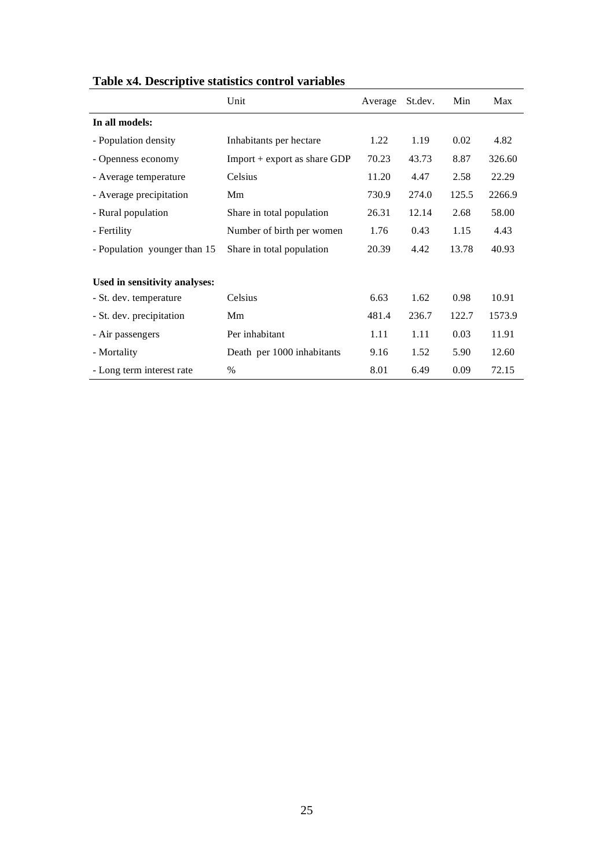| Table x4. Descriptive statistics control variables |                                |         |         |       |        |  |  |
|----------------------------------------------------|--------------------------------|---------|---------|-------|--------|--|--|
|                                                    | Unit                           | Average | St.dev. | Min   | Max    |  |  |
| In all models:                                     |                                |         |         |       |        |  |  |
| - Population density                               | Inhabitants per hectare        | 1.22    | 1.19    | 0.02  | 4.82   |  |  |
| - Openness economy                                 | $Import + export as share GDP$ | 70.23   | 43.73   | 8.87  | 326.60 |  |  |
| - Average temperature                              | Celsius                        | 11.20   | 4.47    | 2.58  | 22.29  |  |  |
| - Average precipitation                            | Mm                             | 730.9   | 274.0   | 125.5 | 2266.9 |  |  |
| - Rural population                                 | Share in total population      | 26.31   | 12.14   | 2.68  | 58.00  |  |  |
| - Fertility                                        | Number of birth per women      | 1.76    | 0.43    | 1.15  | 4.43   |  |  |
| - Population younger than 15                       | Share in total population      | 20.39   | 4.42    | 13.78 | 40.93  |  |  |
| Used in sensitivity analyses:                      |                                |         |         |       |        |  |  |
| - St. dev. temperature                             | Celsius                        | 6.63    | 1.62    | 0.98  | 10.91  |  |  |
| - St. dev. precipitation                           | Mm                             | 481.4   | 236.7   | 122.7 | 1573.9 |  |  |
| - Air passengers                                   | Per inhabitant                 | 1.11    | 1.11    | 0.03  | 11.91  |  |  |
| - Mortality                                        | Death per 1000 inhabitants     | 9.16    | 1.52    | 5.90  | 12.60  |  |  |
| - Long term interest rate                          | $\%$                           | 8.01    | 6.49    | 0.09  | 72.15  |  |  |

## **Table x4. Descriptive statistics control variables**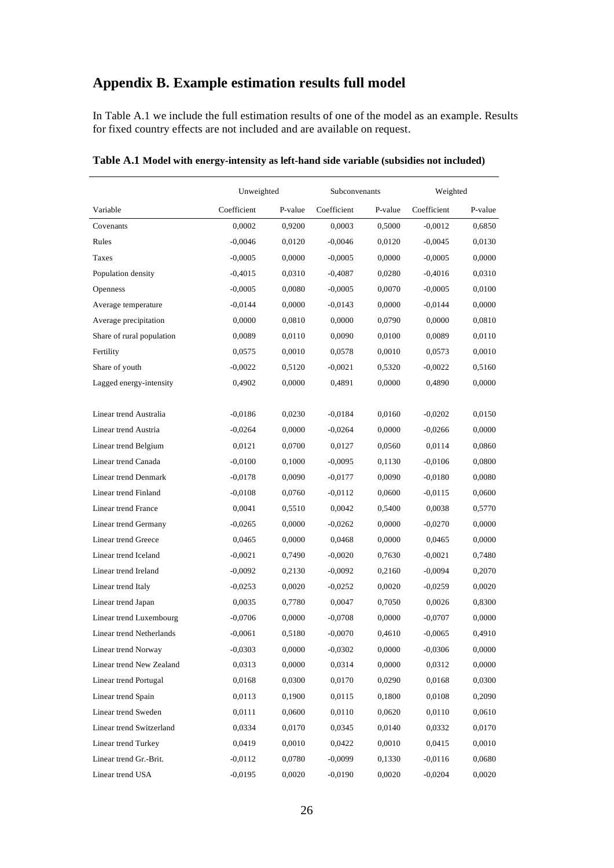# **Appendix B. Example estimation results full model**

In Table A.1 we include the full estimation results of one of the model as an example. Results for fixed country effects are not included and are available on request.

|                           | Unweighted  |         | Subconvenants |         | Weighted    |         |
|---------------------------|-------------|---------|---------------|---------|-------------|---------|
| Variable                  | Coefficient | P-value | Coefficient   | P-value | Coefficient | P-value |
| Covenants                 | 0,0002      | 0,9200  | 0,0003        | 0,5000  | $-0,0012$   | 0,6850  |
| Rules                     | $-0,0046$   | 0,0120  | $-0,0046$     | 0,0120  | $-0,0045$   | 0,0130  |
| Taxes                     | $-0,0005$   | 0,0000  | $-0.0005$     | 0,0000  | $-0,0005$   | 0,0000  |
| Population density        | $-0,4015$   | 0,0310  | $-0,4087$     | 0,0280  | $-0,4016$   | 0,0310  |
| Openness                  | $-0,0005$   | 0,0080  | $-0,0005$     | 0,0070  | $-0,0005$   | 0,0100  |
| Average temperature       | $-0,0144$   | 0,0000  | $-0,0143$     | 0,0000  | $-0,0144$   | 0,0000  |
| Average precipitation     | 0,0000      | 0,0810  | 0,0000        | 0,0790  | 0,0000      | 0,0810  |
| Share of rural population | 0,0089      | 0,0110  | 0,0090        | 0,0100  | 0,0089      | 0,0110  |
| Fertility                 | 0,0575      | 0,0010  | 0,0578        | 0,0010  | 0,0573      | 0,0010  |
| Share of youth            | $-0,0022$   | 0,5120  | $-0,0021$     | 0,5320  | $-0,0022$   | 0,5160  |
| Lagged energy-intensity   | 0,4902      | 0,0000  | 0,4891        | 0,0000  | 0,4890      | 0,0000  |
|                           |             |         |               |         |             |         |
| Linear trend Australia    | $-0,0186$   | 0,0230  | $-0,0184$     | 0,0160  | $-0,0202$   | 0,0150  |
| Linear trend Austria      | $-0,0264$   | 0,0000  | $-0,0264$     | 0,0000  | $-0,0266$   | 0,0000  |
| Linear trend Belgium      | 0,0121      | 0,0700  | 0,0127        | 0,0560  | 0,0114      | 0,0860  |
| Linear trend Canada       | $-0,0100$   | 0,1000  | $-0,0095$     | 0,1130  | $-0,0106$   | 0,0800  |
| Linear trend Denmark      | $-0,0178$   | 0,0090  | $-0.0177$     | 0,0090  | $-0,0180$   | 0,0080  |
| Linear trend Finland      | $-0,0108$   | 0,0760  | $-0.0112$     | 0,0600  | $-0,0115$   | 0,0600  |
| Linear trend France       | 0,0041      | 0,5510  | 0,0042        | 0,5400  | 0,0038      | 0,5770  |
| Linear trend Germany      | $-0,0265$   | 0,0000  | $-0.0262$     | 0,0000  | $-0,0270$   | 0,0000  |
| Linear trend Greece       | 0,0465      | 0,0000  | 0,0468        | 0,0000  | 0,0465      | 0,0000  |
| Linear trend Iceland      | $-0,0021$   | 0,7490  | $-0,0020$     | 0,7630  | $-0,0021$   | 0,7480  |
| Linear trend Ireland      | $-0,0092$   | 0,2130  | $-0,0092$     | 0,2160  | $-0,0094$   | 0,2070  |
| Linear trend Italy        | $-0,0253$   | 0,0020  | $-0,0252$     | 0,0020  | $-0,0259$   | 0,0020  |
| Linear trend Japan        | 0,0035      | 0,7780  | 0.0047        | 0,7050  | 0,0026      | 0,8300  |
| Linear trend Luxembourg   | $-0.0706$   | 0,0000  | $-0.0708$     | 0,0000  | $-0.0707$   | 0,0000  |
| Linear trend Netherlands  | $-0,0061$   | 0,5180  | $-0,0070$     | 0,4610  | $-0,0065$   | 0,4910  |
| Linear trend Norway       | $-0,0303$   | 0,0000  | $-0,0302$     | 0,0000  | $-0,0306$   | 0,0000  |
| Linear trend New Zealand  | 0,0313      | 0,0000  | 0,0314        | 0,0000  | 0,0312      | 0,0000  |
| Linear trend Portugal     | 0,0168      | 0,0300  | 0,0170        | 0,0290  | 0,0168      | 0,0300  |
| Linear trend Spain        | 0.0113      | 0,1900  | 0,0115        | 0,1800  | 0,0108      | 0,2090  |
| Linear trend Sweden       | 0,0111      | 0,0600  | 0.0110        | 0,0620  | 0,0110      | 0,0610  |
| Linear trend Switzerland  | 0,0334      | 0,0170  | 0,0345        | 0,0140  | 0,0332      | 0,0170  |
| Linear trend Turkey       | 0,0419      | 0,0010  | 0,0422        | 0,0010  | 0,0415      | 0,0010  |
| Linear trend Gr.-Brit.    | $-0,0112$   | 0,0780  | $-0,0099$     | 0,1330  | $-0,0116$   | 0,0680  |
| Linear trend USA          | $-0,0195$   | 0,0020  | $-0,0190$     | 0,0020  | $-0,0204$   | 0,0020  |

**Table A.1 Model with energy-intensity as left-hand side variable (subsidies not included)**